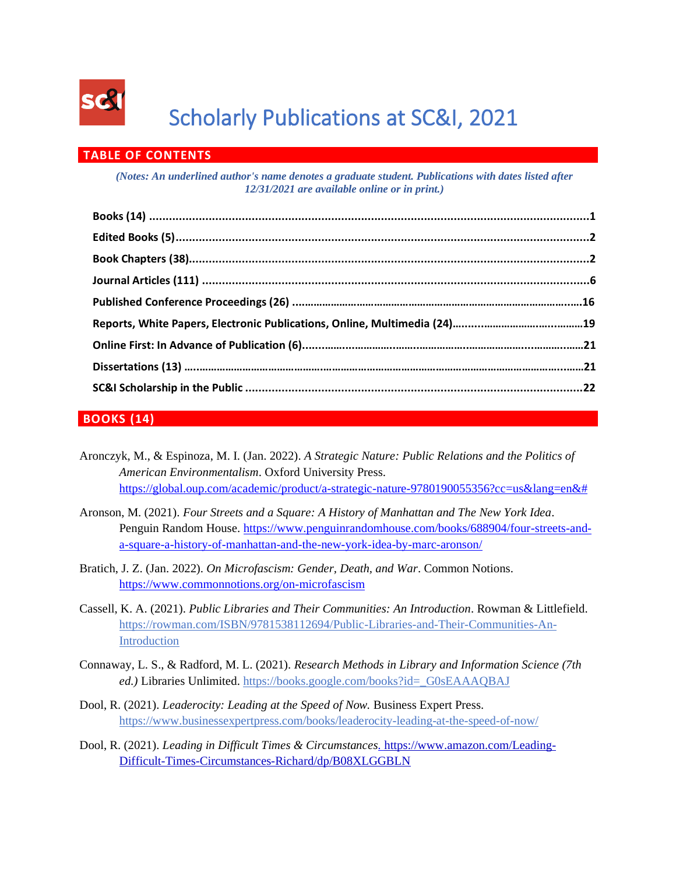

# Scholarly Publications at SC&I, 2021

# **TABLE OF CONTENTS**

*(Notes: An underlined author's name denotes a graduate student. Publications with dates listed after 12/31/2021 are available online or in print.)*

# **BOOKS (14)**

Aronczyk, M., & Espinoza, M. I. (Jan. 2022). *A Strategic Nature: Public Relations and the Politics of American Environmentalism*. Oxford University Press. [https://global.oup.com/academic/product/a-strategic-nature-9780190055356?cc=us&lang=en&#](https://global.oup.com/academic/product/a-strategic-nature-9780190055356?cc=us&lang=en&)

- Aronson, M. (2021). *Four Streets and a Square: A History of Manhattan and The New York Idea*. Penguin Random House. [https://www.penguinrandomhouse.com/books/688904/four-streets-and](https://www.penguinrandomhouse.com/books/688904/four-streets-and-a-square-a-history-of-manhattan-and-the-new-york-idea-by-marc-aronson/)[a-square-a-history-of-manhattan-and-the-new-york-idea-by-marc-aronson/](https://www.penguinrandomhouse.com/books/688904/four-streets-and-a-square-a-history-of-manhattan-and-the-new-york-idea-by-marc-aronson/)
- Bratich, J. Z. (Jan. 2022). *On Microfascism: Gender, Death, and War*. Common Notions. <https://www.commonnotions.org/on-microfascism>
- Cassell, K. A. (2021). *Public Libraries and Their Communities: An Introduction*. Rowman & Littlefield. [https://rowman.com/ISBN/9781538112694/Public-Libraries-and-Their-Communities-An-](https://rowman.com/ISBN/9781538112694/Public-Libraries-and-Their-Communities-An-Introduction)[Introduction](https://rowman.com/ISBN/9781538112694/Public-Libraries-and-Their-Communities-An-Introduction)
- Connaway, L. S., & Radford, M. L. (2021). *Research Methods in Library and Information Science (7th ed.)* Libraries Unlimited. [https://books.google.com/books?id=\\_G0sEAAAQBAJ](https://books.google.com/books?id=_G0sEAAAQBAJ)
- Dool, R. (2021). *Leaderocity: Leading at the Speed of Now.* Business Expert Press. <https://www.businessexpertpress.com/books/leaderocity-leading-at-the-speed-of-now/>
- Dool, R. (2021). *Leading in Difficult Times & Circumstances.* [https://www.amazon.com/Leading-](https://rutgersconnect-my.sharepoint.com/personal/cw855_comminfo_rutgers_edu/Documents/.%20https:/www.amazon.com/Leading-Difficult-Times-Circumstances-Richard/dp/B08XLGGBLN)[Difficult-Times-Circumstances-Richard/dp/B08XLGGBLN](https://rutgersconnect-my.sharepoint.com/personal/cw855_comminfo_rutgers_edu/Documents/.%20https:/www.amazon.com/Leading-Difficult-Times-Circumstances-Richard/dp/B08XLGGBLN)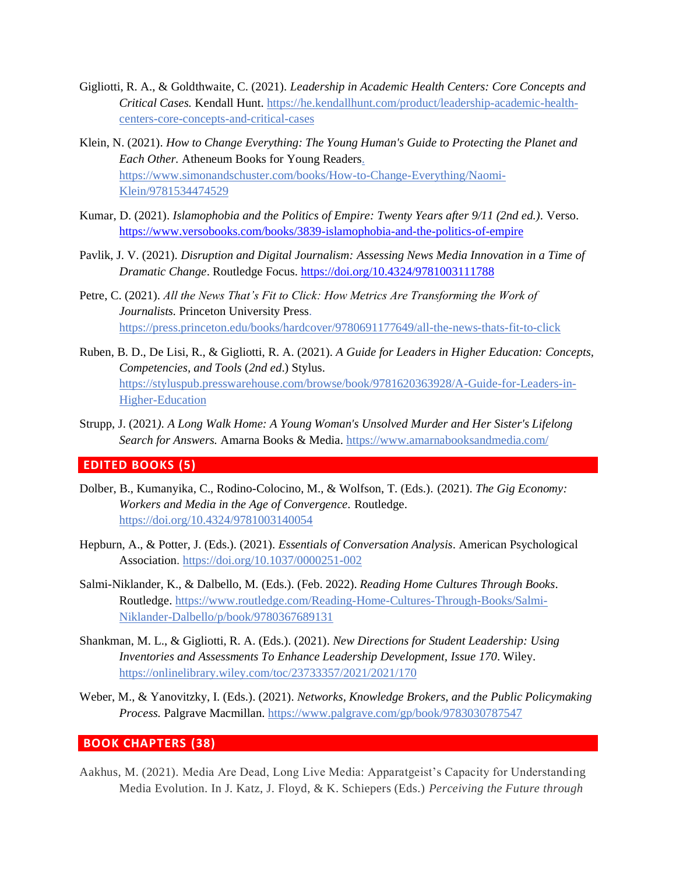- Gigliotti, R. A., & Goldthwaite, C. (2021). *Leadership in Academic Health Centers: Core Concepts and Critical Cases.* Kendall Hunt. [https://he.kendallhunt.com/product/leadership-academic-health](https://he.kendallhunt.com/product/leadership-academic-health-centers-core-concepts-and-critical-cases)[centers-core-concepts-and-critical-cases](https://he.kendallhunt.com/product/leadership-academic-health-centers-core-concepts-and-critical-cases)
- Klein, N. (2021). *How to Change Everything: The Young Human's Guide to Protecting the Planet and Each Other.* Atheneum Books for Young Readers. [https://www.simonandschuster.com/books/How-to-Change-Everything/Naomi-](https://www.simonandschuster.com/books/How-to-Change-Everything/Naomi-Klein/9781534474529)[Klein/9781534474529](https://www.simonandschuster.com/books/How-to-Change-Everything/Naomi-Klein/9781534474529)
- Kumar, D. (2021). *Islamophobia and the Politics of Empire: Twenty Years after 9/11 (2nd ed.).* Verso. <https://www.versobooks.com/books/3839-islamophobia-and-the-politics-of-empire>
- Pavlik, J. V. (2021). *Disruption and Digital Journalism: Assessing News Media Innovation in a Time of Dramatic Change*. Routledge Focus. <https://doi.org/10.4324/9781003111788>
- Petre, C. (2021). *All the News That's Fit to Click: How Metrics Are Transforming the Work of Journalists.* Princeton University Press. <https://press.princeton.edu/books/hardcover/9780691177649/all-the-news-thats-fit-to-click>
- Ruben, B. D., De Lisi, R., & Gigliotti, R. A. (2021). *A Guide for Leaders in Higher Education: Concepts, Competencies, and Tools* (*2nd ed*.) Stylus. [https://styluspub.presswarehouse.com/browse/book/9781620363928/A-Guide-for-Leaders-in-](https://styluspub.presswarehouse.com/browse/book/9781620363928/A-Guide-for-Leaders-in-Higher-Education)[Higher-Education](https://styluspub.presswarehouse.com/browse/book/9781620363928/A-Guide-for-Leaders-in-Higher-Education)
- Strupp, J. (2021*). A Long Walk Home: A Young Woman's Unsolved Murder and Her Sister's Lifelong Search for Answers.* Amarna Books & Media. https://www.amarnabooksandmedia.com/

#### **EDITED BOOKS (5)**

- Dolber, B., Kumanyika, C., Rodino-Colocino, M., & Wolfson, T. (Eds.). (2021). *The Gig Economy: Workers and Media in the Age of Convergence.* Routledge. <https://doi.org/10.4324/9781003140054>
- Hepburn, A., & Potter, J. (Eds.). (2021). *Essentials of Conversation Analysis*. American Psychological Association. [https://doi.org/10.1037/0000251-002](https://content.apa.org/doi/10.1037/0000251-002)
- Salmi-Niklander, K., & Dalbello, M. (Eds.). (Feb. 2022). *Reading Home Cultures Through Books*. Routledge. https://www.routledge.com/Reading-Home-Cultures-Through-Books/Salmi-Niklander-Dalbello/p/book/9780367689131
- Shankman, M. L., & Gigliotti, R. A. (Eds.). (2021). *New Directions for Student Leadership: Using Inventories and Assessments To Enhance Leadership Development, Issue 170*. Wiley. https://onlinelibrary.wiley.com/toc/23733357/2021/2021/170
- Weber, M., & Yanovitzky, I. (Eds.). (2021). *Networks, Knowledge Brokers, and the Public Policymaking Process.* Palgrave Macmillan[. https://www.palgrave.com/gp/book/9783030787547](https://www.palgrave.com/gp/book/9783030787547)

## **BOOK CHAPTERS (38)**

Aakhus, M. (2021). Media Are Dead, Long Live Media: Apparatgeist's Capacity for Understanding Media Evolution. In J. Katz, J. Floyd, & K. Schiepers (Eds.) *Perceiving the Future through*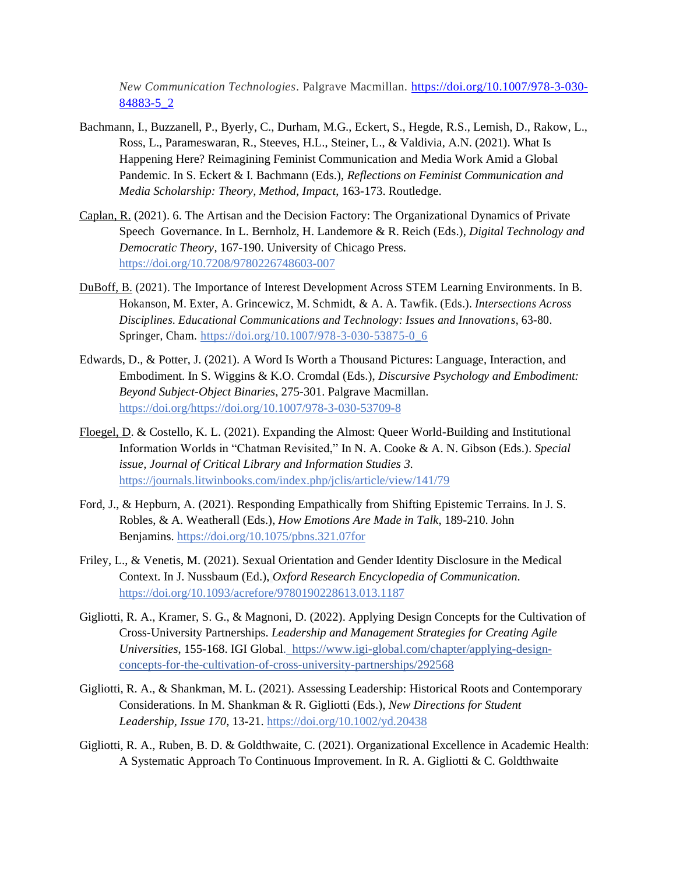*New Communication Technologies*. Palgrave Macmillan. [https://doi.org/10.1007/978-3-030-](https://doi.org/10.1007/978-3-030-84883-5_2) [84883-5\\_2](https://doi.org/10.1007/978-3-030-84883-5_2)

- Bachmann, I., Buzzanell, P., Byerly, C., Durham, M.G., Eckert, S., Hegde, R.S., Lemish, D., Rakow, L., Ross, L., Parameswaran, R., Steeves, H.L., Steiner, L., & Valdivia, A.N. (2021). What Is Happening Here? Reimagining Feminist Communication and Media Work Amid a Global Pandemic. In S. Eckert & I. Bachmann (Eds.), *Reflections on Feminist Communication and Media Scholarship: Theory, Method, Impact*, 163-173. Routledge.
- Caplan, R. (2021). 6. The Artisan and the Decision Factory: The Organizational Dynamics of Private Speech Governance. In L. Bernholz, H. Landemore & R. Reich (Eds.), *Digital Technology and Democratic Theory,* 167-190. University of Chicago Press. <https://doi.org/10.7208/9780226748603-007>
- DuBoff, B. (2021). The Importance of Interest Development Across STEM Learning Environments. In B. Hokanson, M. Exter, A. Grincewicz, M. Schmidt, & A. A. Tawfik. (Eds.). *Intersections Across Disciplines. Educational Communications and Technology: Issues and Innovations*, 63-80. Springer, Cham. [https://doi.org/10.1007/978-3-030-53875-0\\_6](https://doi.org/10.1007/978-3-030-53875-0_6)
- Edwards, D., & Potter, J. (2021). A Word Is Worth a Thousand Pictures: Language, Interaction, and Embodiment. In S. Wiggins & K.O. Cromdal (Eds.), *Discursive Psychology and Embodiment: Beyond Subject-Object Binaries*, 275-301. Palgrave Macmillan. [https://doi.org/https://doi.org/10.1007/978-3-030-53709-8](https://doi.org/https:/doi.org/10.1007/978-3-030-53709-8)
- Floegel, D. & Costello, K. L. (2021). Expanding the Almost: Queer World-Building and Institutional Information Worlds in "Chatman Revisited," In N. A. Cooke & A. N. Gibson (Eds.). *Special issue, Journal of Critical Library and Information Studies 3.* https://journals.litwinbooks.com/index.php/jclis/article/view/141/79
- Ford, J., & Hepburn, A. (2021). Responding Empathically from Shifting Epistemic Terrains. In J. S. Robles, & A. Weatherall (Eds.), *How Emotions Are Made in Talk*, 189-210. John Benjamins. <https://doi.org/10.1075/pbns.321.07for>
- Friley, L., & Venetis, M. (2021). Sexual Orientation and Gender Identity Disclosure in the Medical Context. In J. Nussbaum (Ed.), *[Oxford Research Encyclopedia of Communication.](https://oxfordre.com/search?siteToSearch_0=ORECOM)* <https://doi.org/10.1093/acrefore/9780190228613.013.1187>
- Gigliotti, R. A., Kramer, S. G., & Magnoni, D. (2022). Applying Design Concepts for the Cultivation of Cross-University Partnerships. *Leadership and Management Strategies for Creating Agile Universities*, 155-168. IGI Global. [https://www.igi-global.com/chapter/applying-design](https://www.igi-global.com/chapter/applying-design-concepts-for-the-cultivation-of-cross-university-partnerships/292568)[concepts-for-the-cultivation-of-cross-university-partnerships/292568](https://www.igi-global.com/chapter/applying-design-concepts-for-the-cultivation-of-cross-university-partnerships/292568)
- Gigliotti, R. A., & Shankman, M. L. (2021). Assessing Leadership: Historical Roots and Contemporary Considerations. In M. Shankman & R. Gigliotti (Eds.), *New Directions for Student Leadership, Issue 170*, 13-21[. https://doi.org/10.1002/yd.20438](https://doi.org/10.1002/yd.20438)
- Gigliotti, R. A., Ruben, B. D. & Goldthwaite, C. (2021). Organizational Excellence in Academic Health: A Systematic Approach To Continuous Improvement. In R. A. Gigliotti & C. Goldthwaite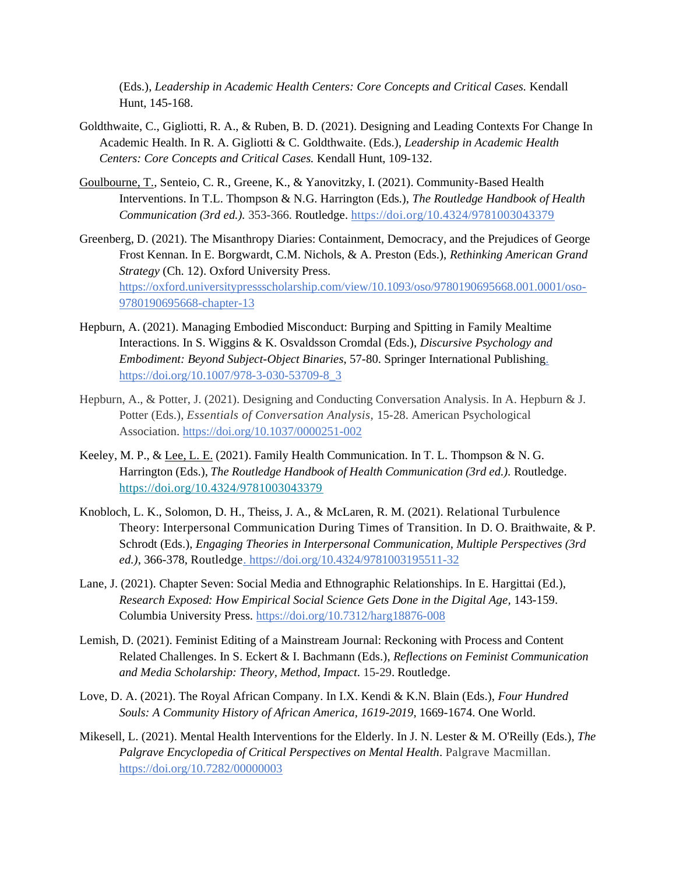(Eds.), *Leadership in Academic Health Centers: Core Concepts and Critical Cases.* Kendall Hunt, 145-168.

- Goldthwaite, C., Gigliotti, R. A., & Ruben, B. D. (2021). Designing and Leading Contexts For Change In Academic Health. In R. A. Gigliotti & C. Goldthwaite. (Eds.), *Leadership in Academic Health Centers: Core Concepts and Critical Cases.* Kendall Hunt, 109-132.
- Goulbourne, T., Senteio, C. R., Greene, K., & Yanovitzky, I. (2021). Community-Based Health Interventions. In T.L. Thompson & N.G. Harrington (Eds.), *The Routledge Handbook of Health Communication (3rd ed.).* 353-366. Routledge.<https://doi.org/10.4324/9781003043379>
- Greenberg, D. (2021). The Misanthropy Diaries: Containment, Democracy, and the Prejudices of George Frost Kennan. In E. Borgwardt, C.M. Nichols, & A. Preston (Eds.), *Rethinking American Grand Strategy* (Ch. 12). Oxford University Press. https://oxford.universitypressscholarship.com/view/10.1093/oso/9780190695668.001.0001/oso-9780190695668-chapter-13
- Hepburn, A. (2021). Managing Embodied Misconduct: Burping and Spitting in Family Mealtime Interactions. In S. Wiggins & K. Osvaldsson Cromdal (Eds.), *Discursive Psychology and Embodiment: Beyond Subject-Object Binaries*, 57-80. Springer International Publishing. [https://doi.org/10.1007/978-3-030-53709-8\\_3](https://doi.org/10.1007/978-3-030-53709-8_3)
- Hepburn, A., & Potter, J. (2021). Designing and Conducting Conversation Analysis. In A. Hepburn & J. Potter (Eds.), *Essentials of Conversation Analysis,* 15-28. American Psychological Association. [https://doi.org/10.1037/0000251-002](https://content.apa.org/doi/10.1037/0000251-002)
- Keeley, M. P., & Lee, L. E. (2021). Family Health Communication. In T. L. Thompson & N. G. Harrington (Eds.), *The Routledge Handbook of Health Communication (3rd ed.).* Routledge. <https://doi.org/10.4324/9781003043379>
- Knobloch, L. K., Solomon, D. H., Theiss, J. A., & McLaren, R. M. (2021). Relational Turbulence Theory: Interpersonal Communication During Times of Transition. In D. O. Braithwaite, & P. Schrodt (Eds.), *Engaging Theories in Interpersonal Communication, Multiple Perspectives (3rd ed.)*, 366-378, Routledge. <https://doi.org/10.4324/9781003195511-32>
- Lane, J. (2021). Chapter Seven: Social Media and Ethnographic Relationships. In E. Hargittai (Ed.), *Research Exposed: How Empirical Social Science Gets Done in the Digital Age,* 143-159. Columbia University Press.<https://doi.org/10.7312/harg18876-008>
- Lemish, D. (2021). Feminist Editing of a Mainstream Journal: Reckoning with Process and Content Related Challenges. In S. Eckert & I. Bachmann (Eds.), *Reflections on Feminist Communication and Media Scholarship: Theory, Method, Impact*. 15-29. Routledge.
- Love, D. A. (2021). The Royal African Company. In I.X. Kendi & K.N. Blain (Eds.), *Four Hundred Souls: A Community History of African America, 1619-2019*, 1669-1674. One World.
- Mikesell, L. (2021). Mental Health Interventions for the Elderly. In J. N. Lester & M. O'Reilly (Eds.), *The Palgrave Encyclopedia of Critical Perspectives on Mental Health*. Palgrave Macmillan. <https://doi.org/10.7282/00000003>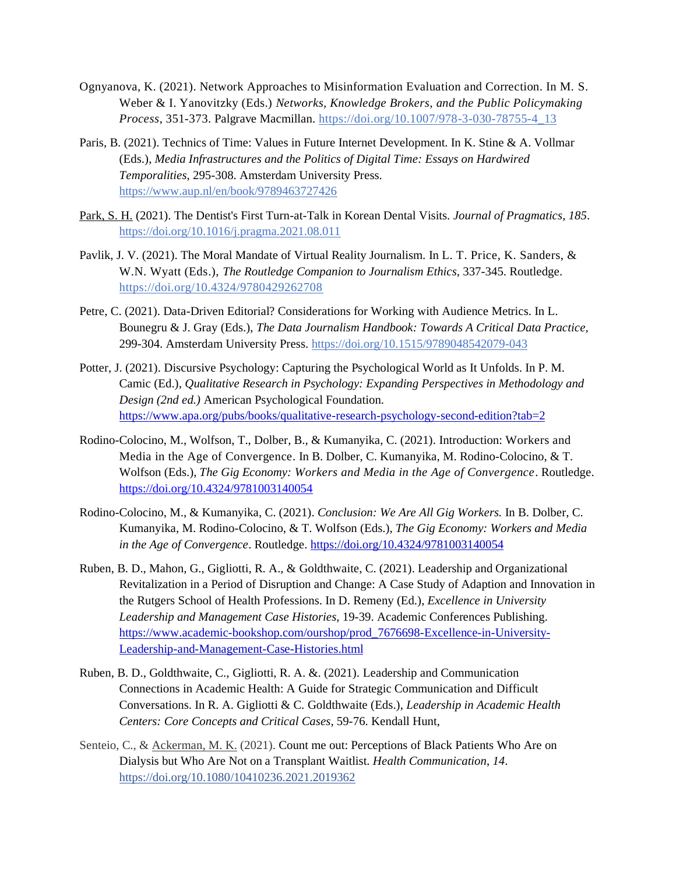- Ognyanova, K. (2021). Network Approaches to Misinformation Evaluation and Correction. In M. S. Weber & I. Yanovitzky (Eds.) *Networks, Knowledge Brokers, and the Public Policymaking Process*, 351-373. Palgrave Macmillan. https://doi.org/10.1007/978-3-030-78755-4\_13
- Paris, B. (2021). Technics of Time: Values in Future Internet Development. In K. Stine & A. Vollmar (Eds.), *Media Infrastructures and the Politics of Digital Time: Essays on Hardwired Temporalities*, 295-308. Amsterdam University Press. <https://www.aup.nl/en/book/9789463727426>
- Park, S. H. (2021). The Dentist's First Turn-at-Talk in Korean Dental Visits. *Journal of Pragmatics, 185*. <https://doi.org/10.1016/j.pragma.2021.08.011>
- Pavlik, J. V. (2021). The Moral Mandate of Virtual Reality Journalism. In L. T. Price, K. Sanders, & W.N. Wyatt (Eds.), *The Routledge Companion to Journalism Ethics*, 337-345. Routledge. <https://doi.org/10.4324/9780429262708>
- Petre, C. (2021). Data-Driven Editorial? Considerations for Working with Audience Metrics. In L. Bounegru & J. Gray (Eds.), *The Data Journalism Handbook: Towards A Critical Data Practice,* 299-304. Amsterdam University Press. <https://doi.org/10.1515/9789048542079-043>
- Potter, J. (2021). Discursive Psychology: Capturing the Psychological World as It Unfolds. In P. M. Camic (Ed.), *Qualitative Research in Psychology: Expanding Perspectives in Methodology and Design (2nd ed.)* American Psychological Foundation. <https://www.apa.org/pubs/books/qualitative-research-psychology-second-edition?tab=2>
- Rodino-Colocino, M., Wolfson, T., Dolber, B., & Kumanyika, C. (2021). Introduction: Workers and Media in the Age of Convergence*.* In B. Dolber, C. Kumanyika, M. Rodino-Colocino, & T. Wolfson (Eds.), *The Gig Economy: Workers and Media in the Age of Convergence*. Routledge. <https://doi.org/10.4324/9781003140054>
- Rodino-Colocino, M., & Kumanyika, C. (2021). *Conclusion: We Are All Gig Workers.* In B. Dolber, C. Kumanyika, M. Rodino-Colocino, & T. Wolfson (Eds.), *The Gig Economy: Workers and Media in the Age of Convergence*. Routledge.<https://doi.org/10.4324/9781003140054>
- Ruben, B. D., Mahon, G., Gigliotti, R. A., & Goldthwaite, C. (2021). Leadership and Organizational Revitalization in a Period of Disruption and Change: A Case Study of Adaption and Innovation in the Rutgers School of Health Professions. In D. Remeny (Ed.), *Excellence in University Leadership and Management Case Histories*, 19-39. Academic Conferences Publishing. [https://www.academic-bookshop.com/ourshop/prod\\_7676698-Excellence-in-University-](https://www.academic-bookshop.com/ourshop/prod_7676698-Excellence-in-University-Leadership-and-Management-Case-Histories.html)[Leadership-and-Management-Case-Histories.html](https://www.academic-bookshop.com/ourshop/prod_7676698-Excellence-in-University-Leadership-and-Management-Case-Histories.html)
- Ruben, B. D., Goldthwaite, C., Gigliotti, R. A. &. (2021). Leadership and Communication Connections in Academic Health: A Guide for Strategic Communication and Difficult Conversations. In R. A. Gigliotti & C. Goldthwaite (Eds.), *Leadership in Academic Health Centers: Core Concepts and Critical Cases,* 59-76. Kendall Hunt,
- Senteio, C., & Ackerman, M. K. (2021). Count me out: Perceptions of Black Patients Who Are on Dialysis but Who Are Not on a Transplant Waitlist. *Health Communication*, *14*. <https://doi.org/10.1080/10410236.2021.2019362>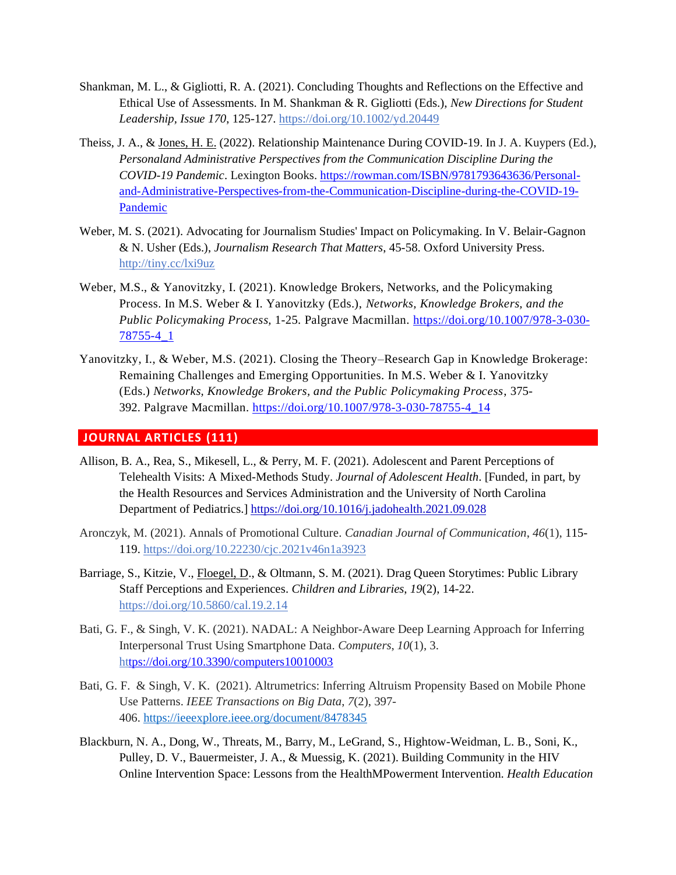- Shankman, M. L., & Gigliotti, R. A. (2021). Concluding Thoughts and Reflections on the Effective and Ethical Use of Assessments. In M. Shankman & R. Gigliotti (Eds.), *New Directions for Student Leadership, Issue 170*, 125-127[. https://doi.org/10.1002/yd.20449](https://doi.org/10.1002/yd.20449)
- Theiss, J. A., & Jones, H. E. (2022). Relationship Maintenance During COVID-19. In J. A. Kuypers (Ed.), *Personaland Administrative Perspectives from the Communication Discipline During the COVID-19 Pandemic*. Lexington Books. [https://rowman.com/ISBN/9781793643636/Personal](https://rowman.com/ISBN/9781793643636/Personal-and-Administrative-Perspectives-from-the-Communication-Discipline-during-the-COVID-19-Pandemic)[and-Administrative-Perspectives-from-the-Communication-Discipline-during-the-COVID-19-](https://rowman.com/ISBN/9781793643636/Personal-and-Administrative-Perspectives-from-the-Communication-Discipline-during-the-COVID-19-Pandemic) [Pandemic](https://rowman.com/ISBN/9781793643636/Personal-and-Administrative-Perspectives-from-the-Communication-Discipline-during-the-COVID-19-Pandemic)
- Weber, M. S. (2021). Advocating for Journalism Studies' Impact on Policymaking. In V. Belair-Gagnon & N. Usher (Eds.), *Journalism Research That Matters*, 45-58. Oxford University Press. <http://tiny.cc/lxi9uz>
- Weber, M.S., & Yanovitzky, I. (2021). Knowledge Brokers, Networks, and the Policymaking Process. In M.S. Weber & I. Yanovitzky (Eds.), *Networks, Knowledge Brokers, and the Public Policymaking Process,* 1-25*.* Palgrave Macmillan. [https://doi.org/10.1007/978-3-030-](https://doi.org/10.1007/978-3-030-78755-4_1) [78755-4\\_1](https://doi.org/10.1007/978-3-030-78755-4_1)
- Yanovitzky, I., & Weber, M.S. (2021). Closing the Theory–Research Gap in Knowledge Brokerage: Remaining Challenges and Emerging Opportunities. In M.S. Weber & I. Yanovitzky (Eds.) *Networks, Knowledge Brokers, and the Public Policymaking Process*, 375- 392. Palgrave Macmillan. [https://doi.org/10.1007/978-3-030-78755-4\\_14](https://doi.org/10.1007/978-3-030-78755-4_14)

# <span id="page-5-0"></span>**JOURNAL ARTICLES (111)**

- Allison, B. A., Rea, S., Mikesell, L., & Perry, M. F. (2021). Adolescent and Parent Perceptions of Telehealth Visits: A Mixed-Methods Study. *Journal of Adolescent Health*. [Funded, in part, by the Health Resources and Services Administration and the University of North Carolina Department of Pediatrics.]<https://doi.org/10.1016/j.jadohealth.2021.09.028>
- Aronczyk, M. (2021). Annals of Promotional Culture. *Canadian Journal of Communication*, *46*(1), 115- 119.<https://doi.org/10.22230/cjc.2021v46n1a3923>
- Barriage, S., Kitzie, V., Floegel, D., & Oltmann, S. M. (2021). Drag Queen Storytimes: Public Library Staff Perceptions and Experiences. *Children and Libraries*, *19*(2), 14-22. <https://doi.org/10.5860/cal.19.2.14>
- Bati, G. F., & Singh, V. K. (2021). NADAL: A Neighbor-Aware Deep Learning Approach for Inferring Interpersonal Trust Using Smartphone Data. *Computers*, *10*(1), 3. h[ttps://doi.org/10.3390/computers10010003](https://doi.org/10.1016/j.jadohealth.2021.09.028)
- Bati, G. F. & Singh, V. K. (2021). Altrumetrics: Inferring Altruism Propensity Based on Mobile Phone Use Patterns. *IEEE Transactions on Big Data*, *7*(2), 397- 406. <https://ieeexplore.ieee.org/document/8478345>
- Blackburn, N. A., Dong, W., Threats, M., Barry, M., LeGrand, S., Hightow-Weidman, L. B., Soni, K., Pulley, D. V., Bauermeister, J. A., & Muessig, K. (2021). Building Community in the HIV Online Intervention Space: Lessons from the HealthMPowerment Intervention. *Health Education*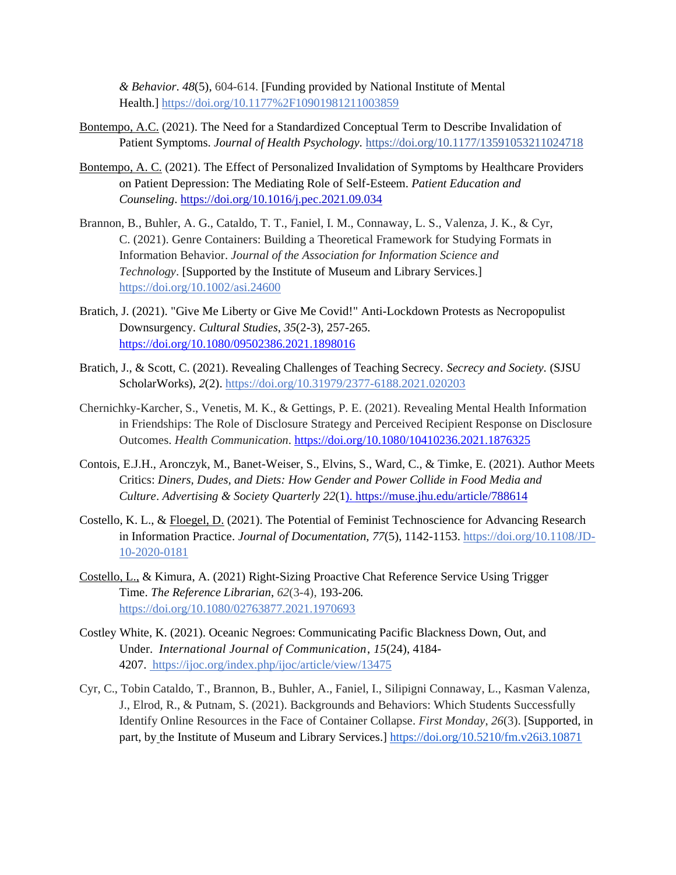*& Behavior*. *48*(5), 604-614. [Funding provided by National Institute of Mental Health.] [https://doi.org/10.1177%2F10901981211003859](https://nam02.safelinks.protection.outlook.com/?url=https%3A%2F%2Fdoi.org%2F10.1177%252F10901981211003859&data=04%7C01%7Ccraig.winston%40rutgers.edu%7C7a1466c0e4a64f90916408d961803fdd%7Cb92d2b234d35447093ff69aca6632ffe%7C1%7C0%7C637648025711004607%7CUnknown%7CTWFpbGZsb3d8eyJWIjoiMC4wLjAwMDAiLCJQIjoiV2luMzIiLCJBTiI6Ik1haWwiLCJXVCI6Mn0%3D%7C1000&sdata=IM6sj1DujvhNa7%2FsdQ96z3p4VMifTNhf6ayr4mFeEO0%3D&reserved=0)

- Bontempo, A.C. (2021). The Need for a Standardized Conceptual Term to Describe Invalidation of Patient Symptoms. *Journal of Health Psychology.* [https://doi.org/10.1177/13591053211024718](https://nam02.safelinks.protection.outlook.com/?url=https%3A%2F%2Fdoi.org%2F10.1177%252F13591053211024718&data=04%7C01%7Ccraig.winston%40rutgers.edu%7Cf148706d5e9342688bf208d92d1b36fa%7Cb92d2b234d35447093ff69aca6632ffe%7C1%7C0%7C637590417168611465%7CUnknown%7CTWFpbGZsb3d8eyJWIjoiMC4wLjAwMDAiLCJQIjoiV2luMzIiLCJBTiI6Ik1haWwiLCJXVCI6Mn0%3D%7C1000&sdata=Hzmuykq1ykq5ItCHEl9QiOGCumL4bXQNdbQNLExIXHg%3D&reserved=0)
- Bontempo, A. C. (2021). The Effect of Personalized Invalidation of Symptoms by Healthcare Providers on Patient Depression: The Mediating Role of Self-Esteem. *Patient Education and Counseling*. <https://doi.org/10.1016/j.pec.2021.09.034>
- Brannon, B., Buhler, A. G., Cataldo, T. T., Faniel, I. M., Connaway, L. S., Valenza, J. K., & Cyr, C. (2021). Genre Containers: Building a Theoretical Framework for Studying Formats in Information Behavior. *Journal of the Association for Information Science and Technology*. [Supported by the Institute of Museum and Library Services.] <https://doi.org/10.1002/asi.24600>
- Bratich, J. (2021). "Give Me Liberty or Give Me Covid!" Anti-Lockdown Protests as Necropopulist Downsurgency. *Cultural Studies*, *35*(2-3), 257-265. <https://doi.org/10.1080/09502386.2021.1898016>
- Bratich, J., & Scott, C. (2021). Revealing Challenges of Teaching Secrecy. *Secrecy and Society.* (SJSU ScholarWorks), *2*(2).<https://doi.org/10.31979/2377-6188.2021.020203>
- Chernichky-Karcher, S., Venetis, M. K., & Gettings, P. E. (2021). Revealing Mental Health Information in Friendships: The Role of Disclosure Strategy and Perceived Recipient Response on Disclosure Outcomes. *Health Communication*[. https://doi.org/10.1080/10410236.2021.1876325](https://doi.org/10.1080/10410236.2021.1876325)
- Contois, E.J.H., Aronczyk, M., Banet-Weiser, S., Elvins, S., Ward, C., & Timke, E. (2021). Author Meets Critics: *Diners, Dudes, and Diets: How Gender and Power Collide in Food Media and Culture*. *Advertising & Society Quarterly 22*([1\). https://muse.jhu.edu/article/788614](https://muse.jhu.edu/article/788614)
- Costello, K. L., & Floegel, D. (2021). The Potential of Feminist Technoscience for Advancing Research in Information Practice. *Journal of Documentation, 77*(5), 1142-1153. [https://doi.org/10.1108/JD-](https://doi.org/10.1108/JD-10-2020-0181)[10-2020-0181](https://doi.org/10.1108/JD-10-2020-0181)
- Costello, L., & Kimura, A. (2021) Right-Sizing Proactive Chat Reference Service Using Trigger Time. *The Reference Librarian*, *62*(3-4), 193-206*.* <https://doi.org/10.1080/02763877.2021.1970693>
- Costley White, K. (2021). Oceanic Negroes: Communicating Pacific Blackness Down, Out, and Under. *International Journal of Communication*, *15*(24), 4184- 4207. <https://ijoc.org/index.php/ijoc/article/view/13475>
- Cyr, C., Tobin Cataldo, T., Brannon, B., Buhler, A., Faniel, I., Silipigni Connaway, L., Kasman Valenza, J., Elrod, R., & Putnam, S. (2021). Backgrounds and Behaviors: Which Students Successfully Identify Online Resources in the Face of Container Collapse. *First Monday*, *26*(3). [Supported, in part, by the Institute of Museum and Library Services.] [https://doi.org/10.5210/fm.v26i3.10871](https://nam02.safelinks.protection.outlook.com/?url=https%3A%2F%2Fdoi.org%2F10.5210%2Ffm.v26i3.10871&data=04%7C01%7Ccraig.winston%40rutgers.edu%7Ca985e52ee6b744e6285b08d9c0833c7c%7Cb92d2b234d35447093ff69aca6632ffe%7C1%7C0%7C637752492163127730%7CUnknown%7CTWFpbGZsb3d8eyJWIjoiMC4wLjAwMDAiLCJQIjoiV2luMzIiLCJBTiI6Ik1haWwiLCJXVCI6Mn0%3D%7C3000&sdata=rvuS8kDlR2rREdJ3gtDnhw3izULcnBon03dUCvG7mBg%3D&reserved=0)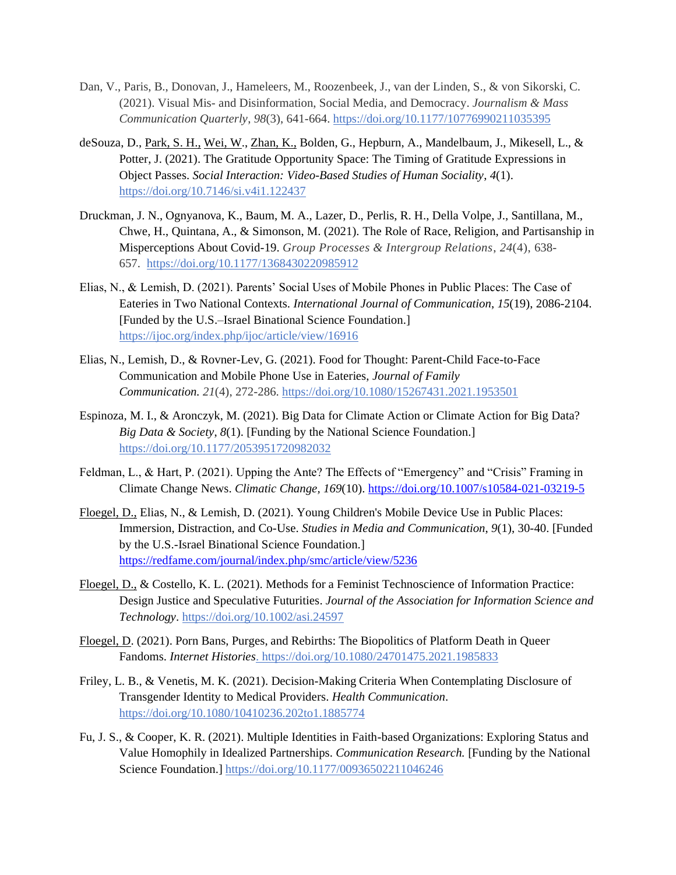- Dan, V., Paris, B., Donovan, J., Hameleers, M., Roozenbeek, J., van der Linden, S., & von Sikorski, C. (2021). Visual Mis- and Disinformation, Social Media, and Democracy. *Journalism & Mass Communication Quarterly*, *98*(3), 641-664. [https://doi.org/10.1177/10776990211035395](https://nam02.safelinks.protection.outlook.com/?url=https%3A%2F%2Fdoi.org%2F10.1177%2F10776990211035395&data=04%7C01%7Ccraig.winston%40rutgers.edu%7C5c4c5209a39a498e175d08d99589b07e%7Cb92d2b234d35447093ff69aca6632ffe%7C1%7C0%7C637705240859357092%7CUnknown%7CTWFpbGZsb3d8eyJWIjoiMC4wLjAwMDAiLCJQIjoiV2luMzIiLCJBTiI6Ik1haWwiLCJXVCI6Mn0%3D%7C1000&sdata=623aBMyZYiXWxYbhWUwd%2FkMw20he3rUHEpMkpmV6W%2FA%3D&reserved=0)
- deSouza, D., Park, S. H., Wei, W., Zhan, K., Bolden, G., Hepburn, A., Mandelbaum, J., Mikesell, L., & Potter, J. (2021). The Gratitude Opportunity Space: The Timing of Gratitude Expressions in Object Passes. *Social Interaction: Video-Based Studies of Human Sociality*, *4*(1). <https://doi.org/10.7146/si.v4i1.122437>
- Druckman, J. N., Ognyanova, K., Baum, M. A., Lazer, D., Perlis, R. H., Della Volpe, J., Santillana, M., Chwe, H., Quintana, A., & Simonson, M. (2021)*.* The Role of Race, Religion, and Partisanship in Misperceptions About Covid-19. *Group Processes & Intergroup Relations*, *24*(4), 638- 657. [https://doi.org/10.1177/1368430220985912](https://doi.org/10.1177%2F1368430220985912)
- Elias, N., & Lemish, D. (2021). Parents' Social Uses of Mobile Phones in Public Places: The Case of Eateries in Two National Contexts. *International Journal of Communication*, *15*(19), 2086-2104. [Funded by the U.S.–Israel Binational Science Foundation.] <https://ijoc.org/index.php/ijoc/article/view/16916>
- Elias, N., Lemish, D., & Rovner-Lev, G. (2021). Food for Thought: Parent-Child Face-to-Face Communication and Mobile Phone Use in Eateries, *Journal of Family Communication. 21*(4), 272-286. <https://doi.org/10.1080/15267431.2021.1953501>
- Espinoza, M. I., & Aronczyk, M. (2021). Big Data for Climate Action or Climate Action for Big Data? *Big Data & Society*, *8*(1). [Funding by the National Science Foundation.] <https://doi.org/10.1177/2053951720982032>
- Feldman, L., & Hart, P. (2021). Upping the Ante? The Effects of "Emergency" and "Crisis" Framing in Climate Change News. *Climatic Change, 169*(10).<https://doi.org/10.1007/s10584-021-03219-5>
- Floegel, D., Elias, N., & Lemish, D. (2021). Young Children's Mobile Device Use in Public Places: Immersion, Distraction, and Co-Use. *Studies in Media and Communication*, *9*(1), 30-40. [Funded by the U.S.-Israel Binational Science Foundation.] <https://redfame.com/journal/index.php/smc/article/view/5236>
- Floegel, D., & Costello, K. L. (2021). Methods for a Feminist Technoscience of Information Practice: Design Justice and Speculative Futurities. *Journal of the Association for Information Science and Technology*. <https://doi.org/10.1002/asi.24597>
- Floegel, D. (2021). Porn Bans, Purges, and Rebirths: The Biopolitics of Platform Death in Queer Fandoms. *Internet Histories*.<https://doi.org/10.1080/24701475.2021.1985833>
- Friley, L. B., & Venetis, M. K. (2021). Decision-Making Criteria When Contemplating Disclosure of Transgender Identity to Medical Providers. *Health Communication*. [https://doi.org/10.1080/10410236.202to1.1885774](https://doi.org/10.1080/10410236.2021.1885774)
- Fu, J. S., & Cooper, K. R. (2021). Multiple Identities in Faith-based Organizations: Exploring Status and Value Homophily in Idealized Partnerships. *Communication Research.* [Funding by the National Science Foundation.]<https://doi.org/10.1177/00936502211046246>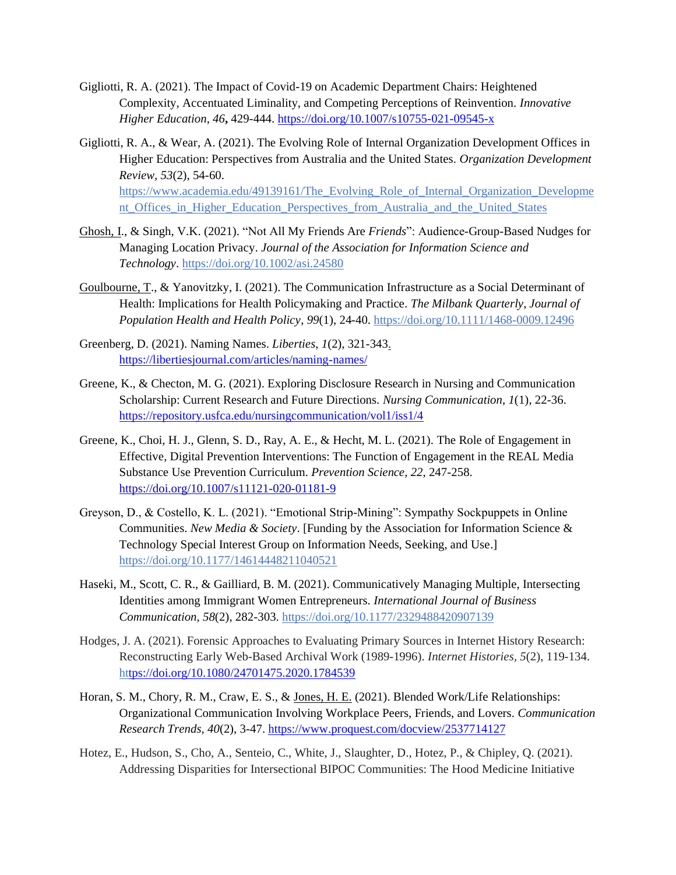- Gigliotti, R. A. (2021). The Impact of Covid-19 on Academic Department Chairs: Heightened Complexity, Accentuated Liminality, and Competing Perceptions of Reinvention. *Innovative Higher Education*, *46***,** 429-444.<https://doi.org/10.1007/s10755-021-09545-x>
- Gigliotti, R. A., & Wear, A. (2021). The Evolving Role of Internal Organization Development Offices in Higher Education: Perspectives from Australia and the United States. *Organization Development Review, 53*(2), 54-60. [https://www.academia.edu/49139161/The\\_Evolving\\_Role\\_of\\_Internal\\_Organization\\_Developme](https://www.academia.edu/49139161/The_Evolving_Role_of_Internal_Organization_Development_Offices_in_Higher_Education_Perspectives_from_Australia_and_the_United_States) nt Offices in Higher Education Perspectives from Australia and the United States
- Ghosh, I., & Singh, V.K. (2021). "Not All My Friends Are *Friends*": Audience-Group-Based Nudges for Managing Location Privacy. *Journal of the Association for Information Science and Technology*. <https://doi.org/10.1002/asi.24580>
- Goulbourne, T., & Yanovitzky, I. (2021). The Communication Infrastructure as a Social Determinant of Health: Implications for Health Policymaking and Practice. *The Milbank Quarterly, Journal of Population Health and Health Policy*, *99*(1), 24-40.<https://doi.org/10.1111/1468-0009.12496>
- Greenberg, D. (2021). Naming Names. *Liberties*, *1*(2), 321-34[3.](https://rutgersconnect-my.sharepoint.com/personal/cw855_comminfo_rutgers_edu/Documents/.%20https:/libertiesjournal.com/articles/naming-names)  [https://libertiesjournal.com/articles/naming-names/](https://rutgersconnect-my.sharepoint.com/personal/cw855_comminfo_rutgers_edu/Documents/.%20https:/libertiesjournal.com/articles/naming-names)
- Greene, K., & Checton, M. G. (2021). Exploring Disclosure Research in Nursing and Communication Scholarship: Current Research and Future Directions. *Nursing Communication*, *1*(1), 22-36. [https://repository.usfca.edu/nursingcommunication/vol1/iss1/4](tps://repository.usfca.edu/nursingcommunication/vol1/iss1/4)
- Greene, K., Choi, H. J., Glenn, S. D., Ray, A. E., & Hecht, M. L. (2021). The Role of Engagement in Effective, Digital Prevention Interventions: The Function of Engagement in the REAL Media Substance Use Prevention Curriculum. *Prevention Science, 22*, 247-258. <https://doi.org/10.1007/s11121-020-01181-9>
- Greyson, D., & Costello, K. L. (2021). "Emotional Strip-Mining": Sympathy Sockpuppets in Online Communities. *New Media & Society*. [Funding by the Association for Information Science & Technology Special Interest Group on Information Needs, Seeking, and Use.] <https://doi.org/10.1177/14614448211040521>
- Haseki, M., Scott, C. R., & Gailliard, B. M. (2021). Communicatively Managing Multiple, Intersecting Identities among Immigrant Women Entrepreneurs. *International Journal of Business Communication*, *58*(2), 282-303.<https://doi.org/10.1177/2329488420907139>
- Hodges, J. A. (2021). Forensic Approaches to Evaluating Primary Sources in Internet History Research: Reconstructing Early Web-Based Archival Work (1989-1996). *Internet Histories*, *5*(2), 119-134. h[ttps://doi.org/10.1080/24701475.2020.1784539](https://www.proquest.com/docview/2537714127)
- Horan, S. M., Chory, R. M., Craw, E. S., & Jones, H. E. (2021). Blended Work/Life Relationships: Organizational Communication Involving Workplace Peers, Friends, and Lovers. *Communication Research Trends, 40*(2), 3-47[. https://www.proquest.com/docview/2537714127](https://www.proquest.com/docview/2537714127)
- Hotez, E., Hudson, S., Cho, A., Senteio, C., White, J., Slaughter, D., Hotez, P., & Chipley, Q. (2021). Addressing Disparities for Intersectional BIPOC Communities: The Hood Medicine Initiative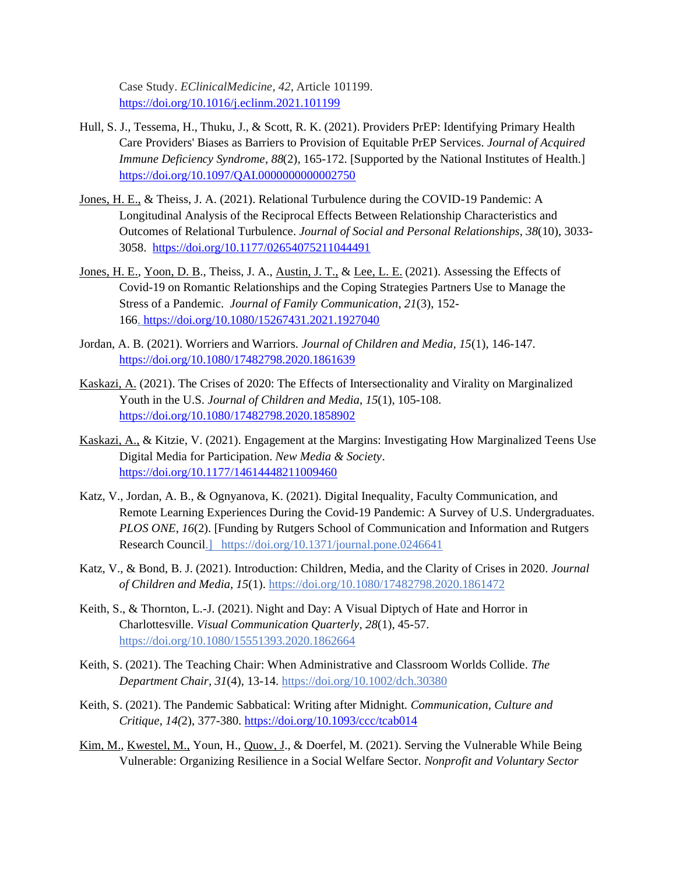Case Study. *EClinicalMedicine*, *42*, Article 101199. <https://doi.org/10.1016/j.eclinm.2021.101199>

- Hull, S. J., Tessema, H., Thuku, J., & Scott, R. K. (2021). Providers PrEP: Identifying Primary Health Care Providers' Biases as Barriers to Provision of Equitable PrEP Services. *Journal of Acquired Immune Deficiency Syndrome*, *88*(2), 165-172. [Supported by the National Institutes of Health.] <https://doi.org/10.1097/QAI.0000000000002750>
- Jones, H. E., & Theiss, J. A. (2021). Relational Turbulence during the COVID-19 Pandemic: A Longitudinal Analysis of the Reciprocal Effects Between Relationship Characteristics and Outcomes of Relational Turbulence. *Journal of Social and Personal Relationships, 38*(10), 3033- 3058. <https://doi.org/10.1177/02654075211044491>
- Jones, H. E., Yoon, D. B., Theiss, J. A., Austin, J. T., & Lee, L. E. (2021). Assessing the Effects of Covid-19 on Romantic Relationships and the Coping Strategies Partners Use to Manage the Stress of a Pandemic. *Journal of Family Communication*, *21*(3), 152- 166. <https://doi.org/10.1080/15267431.2021.1927040>
- Jordan, A. B. (2021). Worriers and Warriors. *Journal of Children and Media, 15*(1), 146-147. <https://doi.org/10.1080/17482798.2020.1861639>
- Kaskazi, A. (2021). The Crises of 2020: The Effects of Intersectionality and Virality on Marginalized Youth in the U.S*. Journal of Children and Media*, *15*(1), 105-108. <https://doi.org/10.1080/17482798.2020.1858902>
- Kaskazi, A., & Kitzie, V. (2021). Engagement at the Margins: Investigating How Marginalized Teens Use Digital Media for Participation. *New Media & Society*. <https://doi.org/10.1177/14614448211009460>
- Katz, V., Jordan, A. B., & Ognyanova, K. (2021). Digital Inequality, Faculty Communication, and Remote Learning Experiences During the Covid-19 Pandemic: A Survey of U.S. Undergraduates*. PLOS ONE*, *16*(2). [Funding by Rutgers School of Communication and Information and Rutgers Research Council.] <https://doi.org/10.1371/journal.pone.0246641>
- Katz, V., & Bond, B. J. (2021). Introduction: Children, Media, and the Clarity of Crises in 2020. *Journal of Children and Media*, *15*(1).<https://doi.org/10.1080/17482798.2020.1861472>
- Keith, S., & Thornton, L.-J. (2021). Night and Day: A Visual Diptych of Hate and Horror in Charlottesville. *Visual Communication Quarterly*, *28*(1), 45-57. <https://doi.org/10.1080/15551393.2020.1862664>
- Keith, S. (2021). The Teaching Chair: When Administrative and Classroom Worlds Collide. *The Department Chair, 31*(4), 13-14. https://doi.org/10.1002/dch.30380
- Keith, S. (2021). The Pandemic Sabbatical: Writing after Midnight. *Communication, Culture and Critique*, *14(*2), 377-380.<https://doi.org/10.1093/ccc/tcab014>
- Kim, M., Kwestel, M., Youn, H., Quow, J., & Doerfel, M. (2021). Serving the Vulnerable While Being Vulnerable: Organizing Resilience in a Social Welfare Sector. *Nonprofit and Voluntary Sector*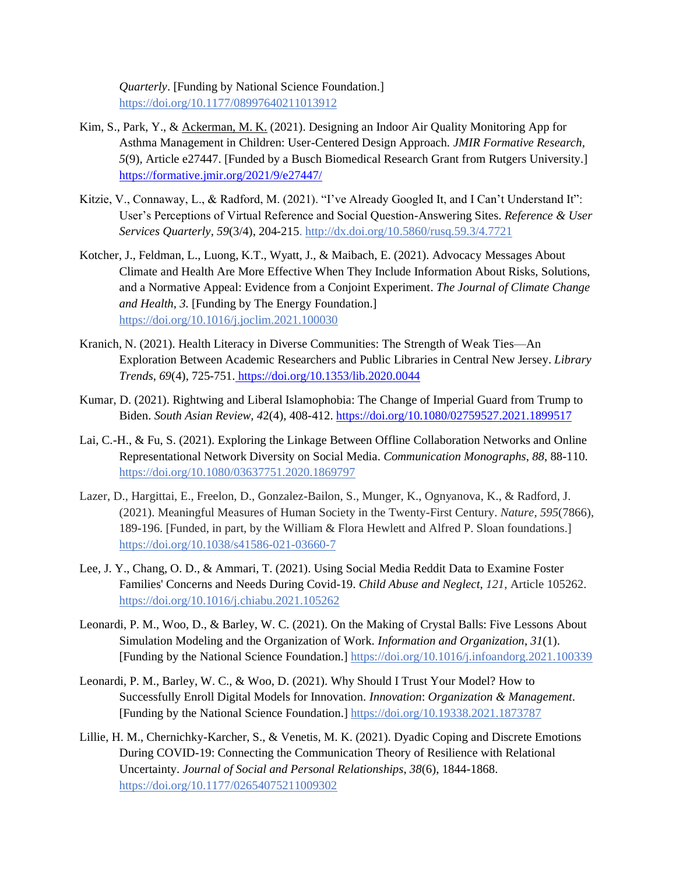*Quarterly*. [Funding by National Science Foundation.] <https://doi.org/10.1177/08997640211013912>

- Kim, S., Park, Y., & Ackerman, M. K. (2021). Designing an Indoor Air Quality Monitoring App for Asthma Management in Children: User-Centered Design Approach*. JMIR Formative Research, 5*(9), Article e27447. [Funded by a Busch Biomedical Research Grant from Rutgers University.] <https://formative.jmir.org/2021/9/e27447/>
- Kitzie, V., Connaway, L., & Radford, M. (2021). "I've Already Googled It, and I Can't Understand It": User's Perceptions of Virtual Reference and Social Question-Answering Sites. *Reference & User Services Quarterly, 59*(3/4), 204-215.<http://dx.doi.org/10.5860/rusq.59.3/4.7721>
- Kotcher, J., Feldman, L., Luong, K.T., Wyatt, J., & Maibach, E. (2021). Advocacy Messages About Climate and Health Are More Effective When They Include Information About Risks, Solutions, and a Normative Appeal: Evidence from a Conjoint Experiment. *The Journal of Climate Change and Health, 3.* [Funding by The Energy Foundation.] <https://doi.org/10.1016/j.joclim.2021.100030>
- Kranich, N. (2021). Health Literacy in Diverse Communities: The Strength of Weak Ties—An Exploration Between Academic Researchers and Public Libraries in Central New Jersey. *Library Trends*, *69*(4), 725-751. [https://doi.org/10.1353/lib.2020.0044](https://muse.jhu.edu/article/798021)
- Kumar, D. (2021). Rightwing and Liberal Islamophobia: The Change of Imperial Guard from Trump to Biden. *South Asian Review, 4*2(4), 408-412. [https://doi.org/10.1080/02759527.2021.1899517](https://www.tandfonline.com/doi/full/10.1080/02759527.2021.1899517)
- Lai, C.-H., & Fu, S. (2021). Exploring the Linkage Between Offline Collaboration Networks and Online Representational Network Diversity on Social Media. *Communication Monographs*, *88*, 88-110. <https://doi.org/10.1080/03637751.2020.1869797>
- Lazer, D., Hargittai, E., Freelon, D., Gonzalez-Bailon, S., Munger, K., Ognyanova, K., & Radford, J. (2021). Meaningful Measures of Human Society in the Twenty-First Century. *Nature*, *595*(7866), 189-196. [Funded, in part, by the William & Flora Hewlett and Alfred P. Sloan foundations.] <https://doi.org/10.1038/s41586-021-03660-7>
- Lee, J. Y., Chang, O. D., & Ammari, T. (2021). Using Social Media Reddit Data to Examine Foster Families' Concerns and Needs During Covid-19. *Child Abuse and Neglect*, *121*, Article 105262. <https://doi.org/10.1016/j.chiabu.2021.105262>
- Leonardi, P. M., Woo, D., & Barley, W. C. (2021). On the Making of Crystal Balls: Five Lessons About Simulation Modeling and the Organization of Work. *Information and Organization*, *31*(1). [Funding by the National Science Foundation.]<https://doi.org/10.1016/j.infoandorg.2021.100339>
- Leonardi, P. M., Barley, W. C., & Woo, D. (2021). Why Should I Trust Your Model? How to Successfully Enroll Digital Models for Innovation. *Innovation*: *Organization & Management*. [Funding by the National Science Foundation.] [https://doi.org/10.19338.2021.1873787](https://doi.org/10.1080/14479338.2021.1873787)
- Lillie, H. M., Chernichky-Karcher, S., & Venetis, M. K. (2021). Dyadic Coping and Discrete Emotions During COVID-19: Connecting the Communication Theory of Resilience with Relational Uncertainty. *Journal of Social and Personal Relationships*, *38*(6), 1844-1868. <https://doi.org/10.1177/02654075211009302>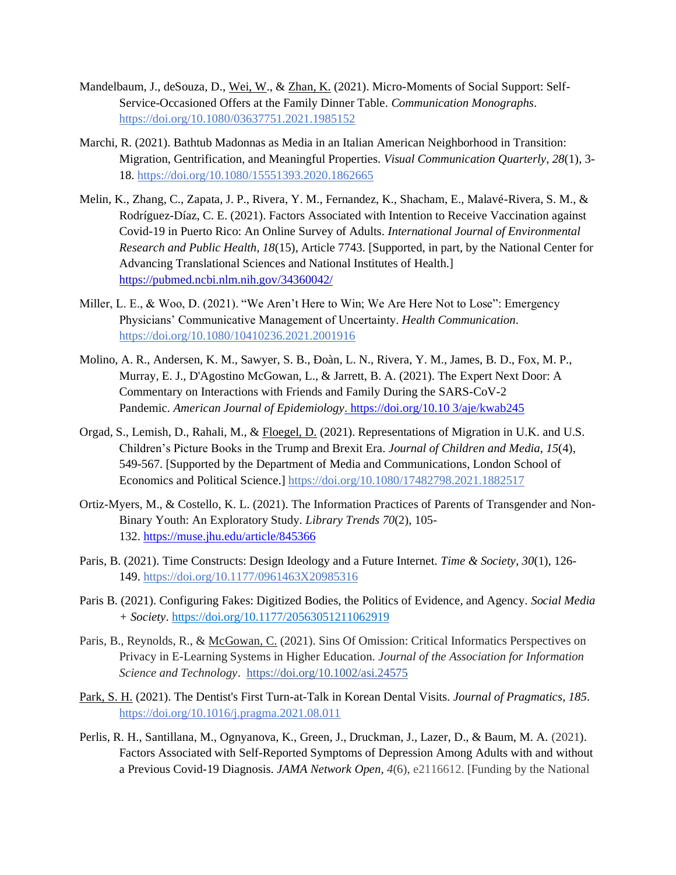- Mandelbaum, J., deSouza, D., Wei, W., & Zhan, K. (2021). Micro-Moments of Social Support: Self-Service-Occasioned Offers at the Family Dinner Table. *Communication Monographs*. <https://doi.org/10.1080/03637751.2021.1985152>
- Marchi, R. (2021). Bathtub Madonnas as Media in an Italian American Neighborhood in Transition: Migration, Gentrification, and Meaningful Properties. *Visual Communication Quarterly*, *28*(1), 3- 18.<https://doi.org/10.1080/15551393.2020.1862665>
- Melin, K., Zhang, C., Zapata, J. P., Rivera, Y. M., Fernandez, K., Shacham, E., Malavé-Rivera, S. M., & Rodríguez-Díaz, C. E. (2021). Factors Associated with Intention to Receive Vaccination against Covid-19 in Puerto Rico: An Online Survey of Adults. *International Journal of Environmental Research and Public Health, 18*(15), Article 7743. [Supported, in part, by the National Center for Advancing Translational Sciences and National Institutes of Health.] [https://pubmed.ncbi.nlm.nih.gov/34360042/](https://pubmed.ncbi.nlm.nih.gov/34360042)
- Miller, L. E., & Woo, D. (2021). "We Aren't Here to Win; We Are Here Not to Lose": Emergency Physicians' Communicative Management of Uncertainty. *Health Communication*. <https://doi.org/10.1080/10410236.2021.2001916>
- Molino, A. R., Andersen, K. M., Sawyer, S. B., Ðoàn, L. N., Rivera, Y. M., James, B. D., Fox, M. P., Murray, E. J., D'Agostino McGowan, L., & Jarrett, B. A. (2021). The Expert Next Door: A Commentary on Interactions with Friends and Family During the SARS-CoV-2 Pandemic. *American Journal of Epidemiology*[. https://doi.org/10.10 3/aje/kwab245](/Users/cw855/Desktop/.%20https:/doi.org/10.10%203/aje/kwab245)
- Orgad, S., Lemish, D., Rahali, M., & Floegel, D. (2021). Representations of Migration in U.K. and U.S. Children's Picture Books in the Trump and Brexit Era. *Journal of Children and Media*, *15*(4), 549-567. [Supported by the Department of Media and Communications, London School of Economics and Political Science.]<https://doi.org/10.1080/17482798.2021.1882517>
- Ortiz-Myers, M., & Costello, K. L. (2021). The Information Practices of Parents of Transgender and Non-Binary Youth: An Exploratory Study. *Library Trends 70*(2), 105- 132. <https://muse.jhu.edu/article/845366>
- Paris, B. (2021). Time Constructs: Design Ideology and a Future Internet. *Time & Society*, *30*(1), 126- 149.<https://doi.org/10.1177/0961463X20985316>
- Paris B. (2021). Configuring Fakes: Digitized Bodies, the Politics of Evidence, and Agency. *Social Media + Society*[. https://doi.org/10.1177/20563051211062919](https://doi.org/10.1177%2F20563051211062919)
- Paris, B., Reynolds, R., & McGowan, C. (2021). Sins Of Omission: Critical Informatics Perspectives on Privacy in E-Learning Systems in Higher Education. *Journal of the Association for Information Science and Technology*. <https://doi.org/10.1002/asi.24575>
- Park, S. H. (2021). The Dentist's First Turn-at-Talk in Korean Dental Visits. *Journal of Pragmatics, 185*. <https://doi.org/10.1016/j.pragma.2021.08.011>
- Perlis, R. H., Santillana, M., Ognyanova, K., Green, J., Druckman, J., Lazer, D., & Baum, M. A. (2021). Factors Associated with Self-Reported Symptoms of Depression Among Adults with and without a Previous Covid-19 Diagnosis. *JAMA Network Open, 4*(6), e2116612. [Funding by the National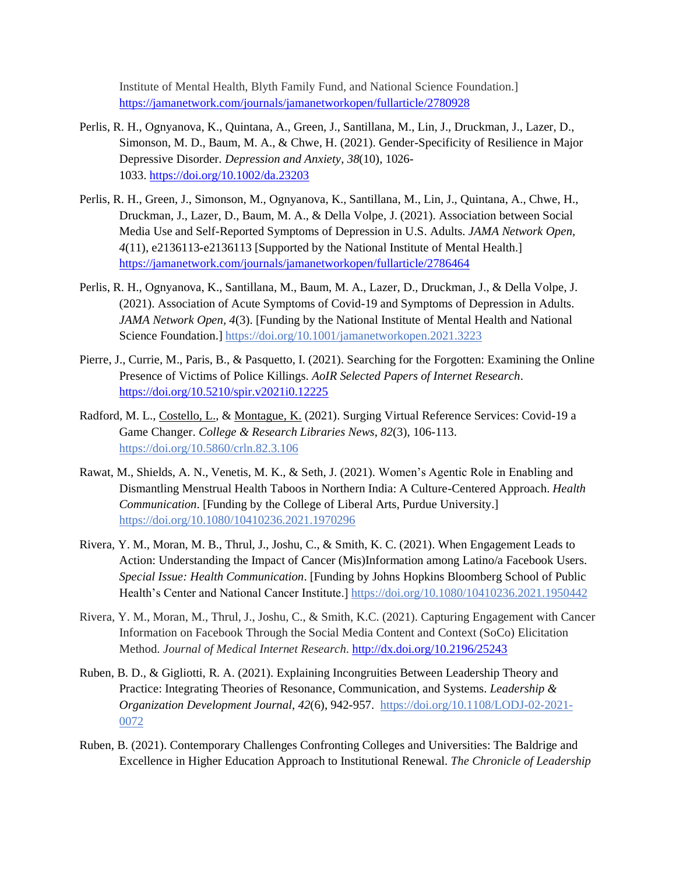Institute of Mental Health, Blyth Family Fund, and National Science Foundation.] <https://jamanetwork.com/journals/jamanetworkopen/fullarticle/2780928>

- Perlis, R. H., Ognyanova, K., Quintana, A., Green, J., Santillana, M., Lin, J., Druckman, J., Lazer, D., Simonson, M. D., Baum, M. A., & Chwe, H. (2021). Gender-Specificity of Resilience in Major Depressive Disorder. *Depression and Anxiety*, *38*(10), 1026- 1033. <https://doi.org/10.1002/da.23203>
- Perlis, R. H., Green, J., Simonson, M., Ognyanova, K., Santillana, M., Lin, J., Quintana, A., Chwe, H., Druckman, J., Lazer, D., Baum, M. A., & Della Volpe, J. (2021). Association between Social Media Use and Self-Reported Symptoms of Depression in U.S. Adults. *JAMA Network Open, 4*(11), e2136113-e2136113 [Supported by the National Institute of Mental Health.] <https://jamanetwork.com/journals/jamanetworkopen/fullarticle/2786464>
- Perlis, R. H., Ognyanova, K., Santillana, M., Baum, M. A., Lazer, D., Druckman, J., & Della Volpe, J. (2021). Association of Acute Symptoms of Covid-19 and Symptoms of Depression in Adults. *JAMA Network Open, 4*(3)[. \[Funding](https://doi.org/%5BResearch) by the National Institute of Mental Health and National Science Foundation.]<https://doi.org/10.1001/jamanetworkopen.2021.3223>
- Pierre, J., Currie, M., Paris, B., & Pasquetto, I. (2021). Searching for the Forgotten: Examining the Online Presence of Victims of Police Killings. *AoIR Selected Papers of Internet Research*. [https://doi.org/10.5210/spir.v2021i0.12225](https://journals.uic.edu/ojs/index.php/spir/article/view/12225)
- Radford, M. L., Costello, L., & Montague, K. (2021). Surging Virtual Reference Services: Covid-19 a Game Changer. *College & Research Libraries News*, *82*(3), 106-113. <https://doi.org/10.5860/crln.82.3.106>
- Rawat, M., Shields, A. N., Venetis, M. K., & Seth, J. (2021). Women's Agentic Role in Enabling and Dismantling Menstrual Health Taboos in Northern India: A Culture-Centered Approach. *Health Communication*. [Funding by the College of Liberal Arts, Purdue University.] <https://doi.org/10.1080/10410236.2021.1970296>
- Rivera, Y. M., Moran, M. B., Thrul, J., Joshu, C., & Smith, K. C. (2021). When Engagement Leads to Action: Understanding the Impact of Cancer (Mis)Information among Latino/a Facebook Users. *Special Issue: Health Communication*. [Funding by Johns Hopkins Bloomberg School of Public Health's Center and National Cancer Institute.] <https://doi.org/10.1080/10410236.2021.1950442>
- Rivera, Y. M., Moran, M., Thrul, J., Joshu, C., & Smith, K.C. (2021). Capturing Engagement with Cancer Information on Facebook Through the Social Media Content and Context (SoCo) Elicitation Method. *Journal of Medical Internet Research*. <http://dx.doi.org/10.2196/25243>
- Ruben, B. D., & Gigliotti, R. A. (2021). Explaining Incongruities Between Leadership Theory and Practice: Integrating Theories of Resonance, Communication, and Systems. *Leadership & Organization Development Journal*, *42*(6), 942-957. [https://doi.org/10.1108/LODJ-02-2021-](https://doi.org/10.1108/LODJ-02-2021-0072) [0072](https://doi.org/10.1108/LODJ-02-2021-0072)
- Ruben, B. (2021). Contemporary Challenges Confronting Colleges and Universities: The Baldrige and Excellence in Higher Education Approach to Institutional Renewal. *The Chronicle of Leadership*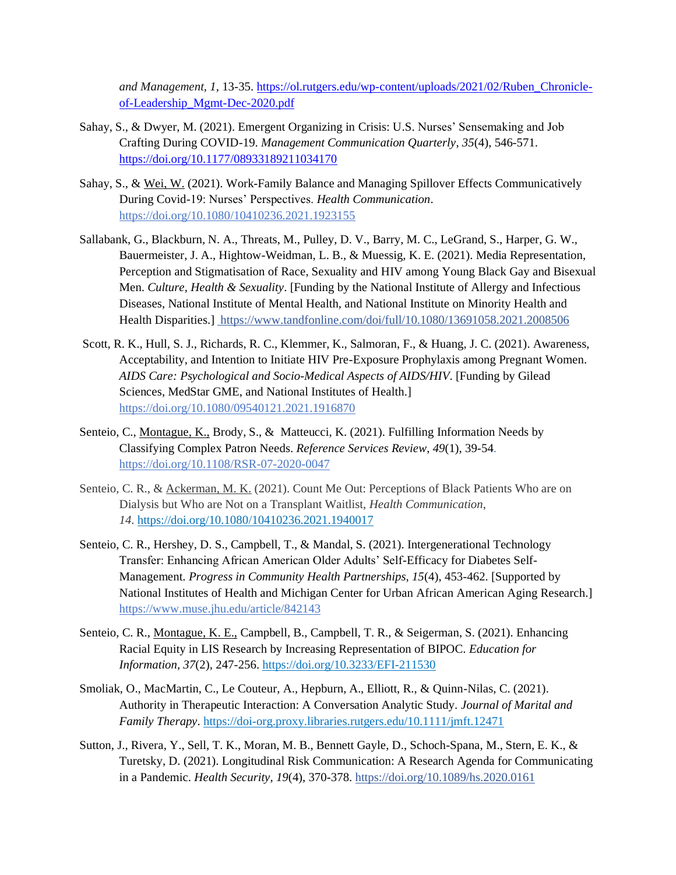*and Management, 1,* 13-35. [https://ol.rutgers.edu/wp-content/uploads/2021/02/Ruben\\_Chronicle](https://ol.rutgers.edu/wp-content/uploads/2021/02/Ruben_Chronicle-of-Leadership_Mgmt-Dec-2020.pdf)[of-Leadership\\_Mgmt-Dec-2020.pdf](https://ol.rutgers.edu/wp-content/uploads/2021/02/Ruben_Chronicle-of-Leadership_Mgmt-Dec-2020.pdf)

- Sahay, S., & Dwyer, M. (2021). Emergent Organizing in Crisis: U.S. Nurses' Sensemaking and Job Crafting During COVID-19. *Management Communication Quarterly*, *35*(4), 546-571. <https://doi.org/10.1177/08933189211034170>
- Sahay, S., & Wei, W. (2021). Work-Family Balance and Managing Spillover Effects Communicatively During Covid-19: Nurses' Perspectives. *Health Communication*. <https://doi.org/10.1080/10410236.2021.1923155>
- Sallabank, G., Blackburn, N. A., Threats, M., Pulley, D. V., Barry, M. C., LeGrand, S., Harper, G. W., Bauermeister, J. A., Hightow-Weidman, L. B., & Muessig, K. E. (2021). Media Representation, Perception and Stigmatisation of Race, Sexuality and HIV among Young Black Gay and Bisexual Men. *Culture, Health & Sexuality*. [Funding by the National Institute of Allergy and Infectious Diseases, National Institute of Mental Health, and National Institute on Minority Health and Health Disparities.] [https://www.tandfonline.com/doi/full/10.1080/13691058.2021.2008506](https://doi.org/10.1080/13691058.2021.2008506)
- Scott, R. K., Hull, S. J., Richards, R. C., Klemmer, K., Salmoran, F., & Huang, J. C. (2021). Awareness, Acceptability, and Intention to Initiate HIV Pre-Exposure Prophylaxis among Pregnant Women. *AIDS Care: Psychological and Socio-Medical Aspects of AIDS/HIV*. [Funding by Gilead Sciences, MedStar GME, and National Institutes of Health.] <https://doi.org/10.1080/09540121.2021.1916870>
- Senteio, C., Montague, K., Brody, S., & [Matteucci,](https://www.emerald.com/insight/search?q=Kristen%20B.%20Matteucci) K. (2021). Fulfilling Information Needs by Classifying Complex Patron Needs. *Reference Services Review*, *49*(1), 39-54. <https://doi.org/10.1108/RSR-07-2020-0047>
- Senteio, C. R., & Ackerman, M. K. (2021). Count Me Out: Perceptions of Black Patients Who are on Dialysis but Who are Not on a Transplant Waitlist, *Health Communication*, *14*. <https://doi.org/10.1080/10410236.2021.1940017>
- Senteio, C. R., Hershey, D. S., Campbell, T., & Mandal, S. (2021). Intergenerational Technology Transfer: Enhancing African American Older Adults' Self-Efficacy for Diabetes Self-Management. *Progress in Community Health Partnerships, 15*(4), 453-462. [Supported by National Institutes of Health and Michigan Center for Urban African American Aging Research.] [https://www.muse.jhu.edu/article/842143](https://muse.jhu.edu/article/842143)
- Senteio, C. R., Montague, K. E., Campbell, B., Campbell, T. R., & Seigerman, S. (2021). Enhancing Racial Equity in LIS Research by Increasing Representation of BIPOC. *Education for Information, 37*(2), 247-256[. https://doi.org/10.3233/EFI-211530](https://doi.org/10.3233/EFI-211530)
- Smoliak, O., MacMartin, C., Le Couteur, A., Hepburn, A., Elliott, R., & Quinn-Nilas, C. (2021). Authority in Therapeutic Interaction: A Conversation Analytic Study. *Journal of Marital and Family Therapy*.<https://doi-org.proxy.libraries.rutgers.edu/10.1111/jmft.12471>
- Sutton, J., Rivera, Y., Sell, T. K., Moran, M. B., Bennett Gayle, D., Schoch-Spana, M., Stern, E. K., & Turetsky, D. (2021). Longitudinal Risk Communication: A Research Agenda for Communicating in a Pandemic. *Health Security, 19*(4), 370-378[. https://doi.org/10.1089/hs.2020.0161](https://doi.org/10.1089/hs.2020.0161)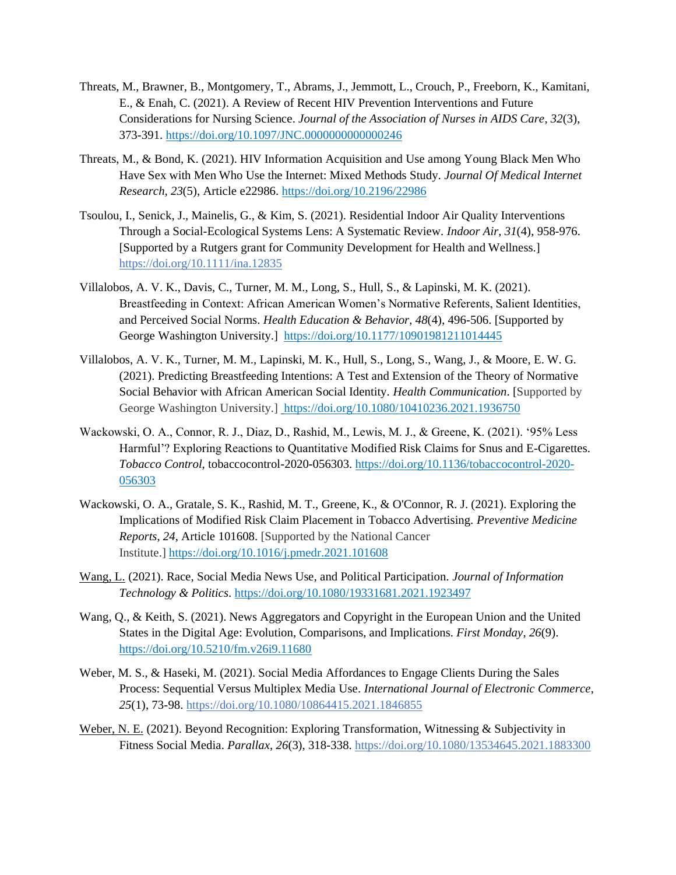- Threats, M., Brawner, B., Montgomery, T., Abrams, J., Jemmott, L., Crouch, P., Freeborn, K., Kamitani, E., & Enah, C. (2021). A Review of Recent HIV Prevention Interventions and Future Considerations for Nursing Science. *Journal of the Association of Nurses in AIDS Care*, *32*(3), 373-391.<https://doi.org/10.1097/JNC.0000000000000246>
- Threats, M., & Bond, K. (2021). HIV Information Acquisition and Use among Young Black Men Who Have Sex with Men Who Use the Internet: Mixed Methods Study. *Journal Of Medical Internet Research, 23*(5), Article e22986. https://doi.org/10.2196/22986
- Tsoulou, I., Senick, J., Mainelis, G., & Kim, S. (2021). Residential Indoor Air Quality Interventions Through a Social-Ecological Systems Lens: A Systematic Review. *Indoor Air, 31*(4)*,* 958-976. [Supported by a Rutgers grant for Community Development for Health and Wellness.] <https://doi.org/10.1111/ina.12835>
- Villalobos, A. V. K., Davis, C., Turner, M. M., Long, S., Hull, S., & Lapinski, M. K. (2021). Breastfeeding in Context: African American Women's Normative Referents, Salient Identities, and Perceived Social Norms. *Health Education & Behavior*, *48*(4), 496-506. [Supported by George Washington University.] <https://doi.org/10.1177/10901981211014445>
- Villalobos, A. V. K., Turner, M. M., Lapinski, M. K., Hull, S., Long, S., Wang, J., & Moore, E. W. G. (2021). Predicting Breastfeeding Intentions: A Test and Extension of the Theory of Normative Social Behavior with African American Social Identity. *Health Communication*. [Supported by George Washington University.] <https://doi.org/10.1080/10410236.2021.1936750>
- Wackowski, O. A., Connor, R. J., Diaz, D., Rashid, M., Lewis, M. J., & Greene, K. (2021). '95% Less Harmful'? Exploring Reactions to Quantitative Modified Risk Claims for Snus and E-Cigarettes. *Tobacco Control*, tobaccocontrol-2020-056303. [https://doi.org/10.1136/tobaccocontrol-2020-](https://doi.org/10.1136/tobaccocontrol-2020-056303) [056303](https://doi.org/10.1136/tobaccocontrol-2020-056303)
- Wackowski, O. A., Gratale, S. K., Rashid, M. T., Greene, K., & O'Connor, R. J. (2021). Exploring the Implications of Modified Risk Claim Placement in Tobacco Advertising. *Preventive Medicine Reports*, *24*, Article 101608. [Supported by the National Cancer Institute.] <https://doi.org/10.1016/j.pmedr.2021.101608>
- Wang, L. (2021). Race, Social Media News Use, and Political Participation. *Journal of Information Technology & Politics*.<https://doi.org/10.1080/19331681.2021.1923497>
- Wang, Q., & Keith, S. (2021). News Aggregators and Copyright in the European Union and the United States in the Digital Age: Evolution, Comparisons, and Implications. *First Monday*, *26*(9). https://doi.org/10.5210/fm.v26i9.11680
- Weber, M. S., & Haseki, M. (2021). Social Media Affordances to Engage Clients During the Sales Process: Sequential Versus Multiplex Media Use. *International Journal of Electronic Commerce, 25*(1), 73-98[. https://doi.org/10.1080/10864415.2021.1846855](https://doi.org/10.1080/10864415.2021.1846855)
- Weber, N. E. (2021). Beyond Recognition: Exploring Transformation, Witnessing & Subjectivity in Fitness Social Media. *Parallax, 26*(3), 318-338.<https://doi.org/10.1080/13534645.2021.1883300>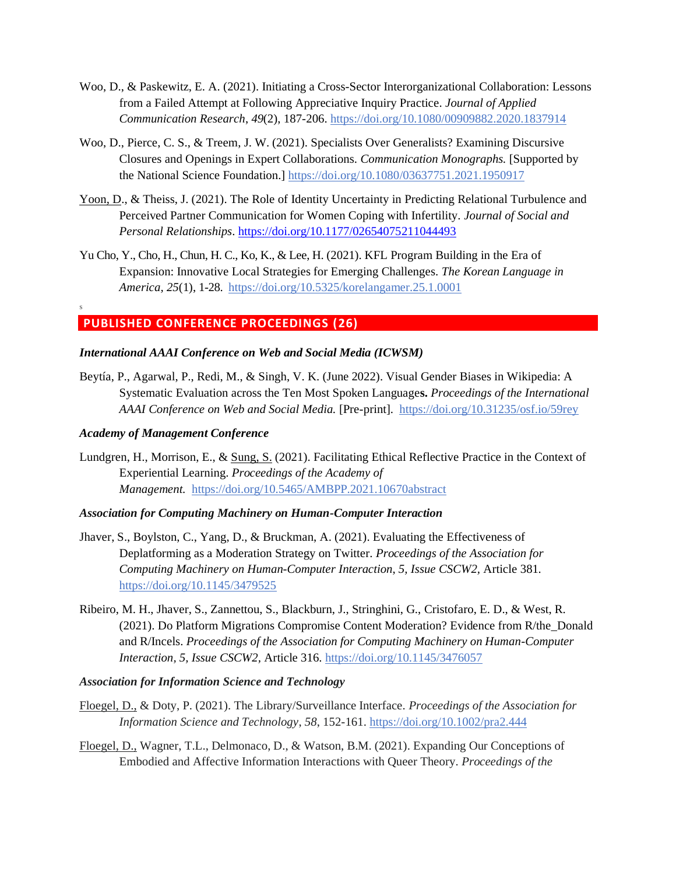- Woo, D., & Paskewitz, E. A. (2021). Initiating a Cross-Sector Interorganizational Collaboration: Lessons from a Failed Attempt at Following Appreciative Inquiry Practice. *Journal of Applied Communication Research*, *49*(2), 187-206. <https://doi.org/10.1080/00909882.2020.1837914>
- Woo, D., Pierce, C. S., & Treem, J. W. (2021). Specialists Over Generalists? Examining Discursive Closures and Openings in Expert Collaborations. *Communication Monographs.* [Supported by the National Science Foundation.]<https://doi.org/10.1080/03637751.2021.1950917>
- Yoon, D., & Theiss, J. (2021). The Role of Identity Uncertainty in Predicting Relational Turbulence and Perceived Partner Communication for Women Coping with Infertility. *Journal of Social and Personal Relationships*. <https://doi.org/10.1177/02654075211044493>
- Yu Cho, Y., Cho, H., Chun, H. C., Ko, K., & Lee, H. (2021). KFL Program Building in the Era of Expansion: Innovative Local Strategies for Emerging Challenges. *The Korean Language in America, 25*(1), 1-28.<https://doi.org/10.5325/korelangamer.25.1.0001>

# **PUBLISHED CONFERENCE PROCEEDINGS (26)**

#### *International AAAI Conference on Web and Social Media (ICWSM)*

Beytía, P., Agarwal, P., Redi, M., & Singh, V. K. (June 2022). Visual Gender Biases in Wikipedia: A Systematic Evaluation across the Ten Most Spoken Language**s.** *Proceedings of the International AAAI Conference on Web and Social Media.* [Pre-print]. <https://doi.org/10.31235/osf.io/59rey>

#### *Academy of Management Conference*

S

Lundgren, H., Morrison, E., & Sung, S. (2021). Facilitating Ethical Reflective Practice in the Context of Experiential Learning. *Proceedings of the Academy of Management.* [https://doi.org/10.5465/AMBPP.2021.10670abstract](https://journals.aom.org/doi/abs/10.5465/AMBPP.2021.10670abstract) 

#### *Association for Computing Machinery on Human-Computer Interaction*

- Jhaver, S., Boylston, C., Yang, D., & Bruckman, A. (2021). Evaluating the Effectiveness of Deplatforming as a Moderation Strategy on Twitter. *Proceedings of the Association for Computing Machinery on Human-Computer Interaction*, *5, Issue CSCW2,* Article 381*.* <https://doi.org/10.1145/3479525>
- Ribeiro, M. H., Jhaver, S., Zannettou, S., Blackburn, J., Stringhini, G., Cristofaro, E. D., & West, R. (2021). Do Platform Migrations Compromise Content Moderation? Evidence from R/the\_Donald and R/Incels. *Proceedings of the Association for Computing Machinery on Human-Computer Interaction, 5, Issue CSCW2,* Article 316.<https://doi.org/10.1145/3476057>

#### *Association for Information Science and Technology*

- Floegel, D., & Doty, P. (2021). The Library/Surveillance Interface. *Proceedings of the Association for Information Science and Technology*, *58*, 152-161. <https://doi.org/10.1002/pra2.444>
- Floegel, D., Wagner, T.L., Delmonaco, D., & Watson, B.M. (2021). Expanding Our Conceptions of Embodied and Affective Information Interactions with Queer Theory. *Proceedings of the*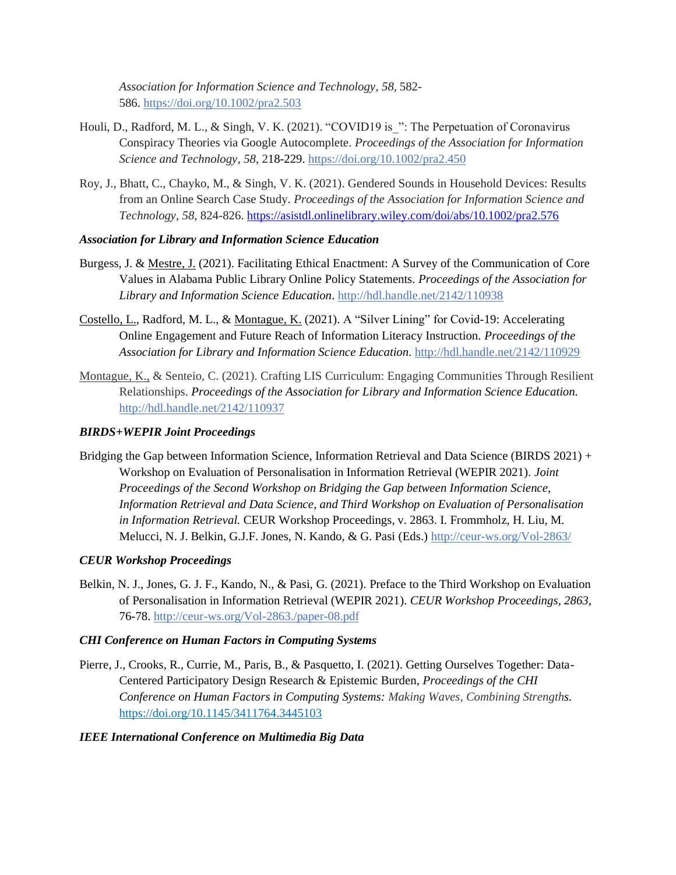*Association for Information Science and Technology*, *58,* 582- 586. <https://doi.org/10.1002/pra2.503>

- Houli, D., Radford, M. L., & Singh, V. K. (2021). "COVID19 is ": The Perpetuation of Coronavirus Conspiracy Theories via Google Autocomplete. *Proceedings of the Association for Information Science and Technology*, *58*, 218-229. <https://doi.org/10.1002/pra2.450>
- Roy, J., Bhatt, C., Chayko, M., & Singh, V. K. (2021). Gendered Sounds in Household Devices: Results from an Online Search Case Study. *Proceedings of the Association for Information Science and Technology*, *58*, 824-826[. https://asistdl.onlinelibrary.wiley.com/doi/abs/10.1002/pra2.576](https://asistdl.onlinelibrary.wiley.com/doi/abs/10.1002/pra2.576)

## *Association for Library and [Information](https://www.ideals.illinois.edu/handle/2142/98928) Science Education*

- [Burgess,](https://www.ideals.illinois.edu/browse?type=author&value=Burgess,%20John) J. & [Mestre,](https://www.ideals.illinois.edu/browse?type=author&value=Mestre,%20Juliana) J. (2021). Facilitating Ethical Enactment: A Survey of the Communication of Core Values in Alabama Public Library Online Policy Statements. *Proceedings of the Association for Library and Information Science Education*. <http://hdl.handle.net/2142/110938>
- [Costello,](https://www.ideals.illinois.edu/browse?type=author&value=Costello,%20Laura) L., Radford, M. L., & [Montague,](https://www.ideals.illinois.edu/browse?type=author&value=Montague,%20Kaitlin) K. (2021). A "Silver Lining" for Covid-19: Accelerating Online Engagement and Future Reach of Information Literacy Instruction. *Proceedings of the Association for Library and Information Science Education.* <http://hdl.handle.net/2142/110929>
- Montague, K., & Senteio, C. (2021). Crafting LIS Curriculum: Engaging Communities Through Resilient Relationships. *Proceedings of the Association for Library and Information Science Education.* <http://hdl.handle.net/2142/110937>

# *BIRDS[+WEPIR](https://nam02.safelinks.protection.outlook.com/?url=https%3A%2F%2Fwepir2021.disco.unimib.it%2F&data=04%7C01%7Ccraig.winston%40rutgers.edu%7Cefd3b0bbf77a4ad4ea9408d9ba5889d1%7Cb92d2b234d35447093ff69aca6632ffe%7C1%7C0%7C637745711693522235%7CUnknown%7CTWFpbGZsb3d8eyJWIjoiMC4wLjAwMDAiLCJQIjoiV2luMzIiLCJBTiI6Ik1haWwiLCJXVCI6Mn0%3D%7C3000&sdata=GDdYpMeQ6hiXlYX%2FdBPLOoVMIR%2FiChE%2BFKz3AVfdCTQ%3D&reserved=0) Joint Proceedings*

Bridging the Gap between Information Science, Information Retrieval and Data Science (BIRDS 2021) + Workshop on Evaluation of Personalisation in Information Retrieval (WEPIR 2021). *Joint Proceedings of the Second Workshop on Bridging the Gap between Information Science, Information Retrieval and Data Science, and Third Workshop on Evaluation of Personalisation in Information Retrieval.* CEUR Workshop Proceedings, v. 2863. I. Frommholz, H. Liu, M. Melucci, N. J. Belkin, G.J.F. Jones, N. Kando, & G. Pasi (Eds.) [http://ceur-ws.org/Vol-2863/](https://nam02.safelinks.protection.outlook.com/?url=http%3A%2F%2Fceur-ws.org%2FVol-2863%2F&data=04%7C01%7Ccraig.winston%40rutgers.edu%7Cefd3b0bbf77a4ad4ea9408d9ba5889d1%7Cb92d2b234d35447093ff69aca6632ffe%7C1%7C0%7C637745711693522235%7CUnknown%7CTWFpbGZsb3d8eyJWIjoiMC4wLjAwMDAiLCJQIjoiV2luMzIiLCJBTiI6Ik1haWwiLCJXVCI6Mn0%3D%7C3000&sdata=4fjwLgJAwJkjKJFOgWc4mH6uCVtZfg5Jm0i7Kr9MQKM%3D&reserved=0)

#### *CEUR Workshop Proceedings*

Belkin, N. J., Jones, G. J. F., Kando, N., & Pasi, G. (2021). Preface to the Third Workshop on Evaluation of Personalisation in Information Retrieval (WEPIR 2021). *CEUR Workshop Proceedings*, *2863*, 76-78. [http://ceur-ws.org/Vol-2863./paper-08.pdf](https://nam02.safelinks.protection.outlook.com/?url=http%3A%2F%2Fceur-ws.org%2FVol-2863%2Fpaper-08.pdf&data=04%7C01%7Ccraig.winston%40rutgers.edu%7Cefd3b0bbf77a4ad4ea9408d9ba5889d1%7Cb92d2b234d35447093ff69aca6632ffe%7C1%7C0%7C637745711693512233%7CUnknown%7CTWFpbGZsb3d8eyJWIjoiMC4wLjAwMDAiLCJQIjoiV2luMzIiLCJBTiI6Ik1haWwiLCJXVCI6Mn0%3D%7C3000&sdata=zPbulnQ%2BXDPJEtJ1%2BIDYD4zxC3%2F%2BtBUsTr8QdFWCvwg%3D&reserved=0)

#### *CHI Conference on Human Factors in Computing Systems*

Pierre, J., Crooks, R., Currie, M., Paris, B., & Pasquetto, I. (2021). Getting Ourselves Together: Data-Centered Participatory Design Research & Epistemic Burden, *Proceedings of the CHI Conference on Human Factors in Computing Systems: Making Waves, Combining Strengths.*  <https://doi.org/10.1145/3411764.3445103>

#### *IEEE International Conference on Multimedia Big Data*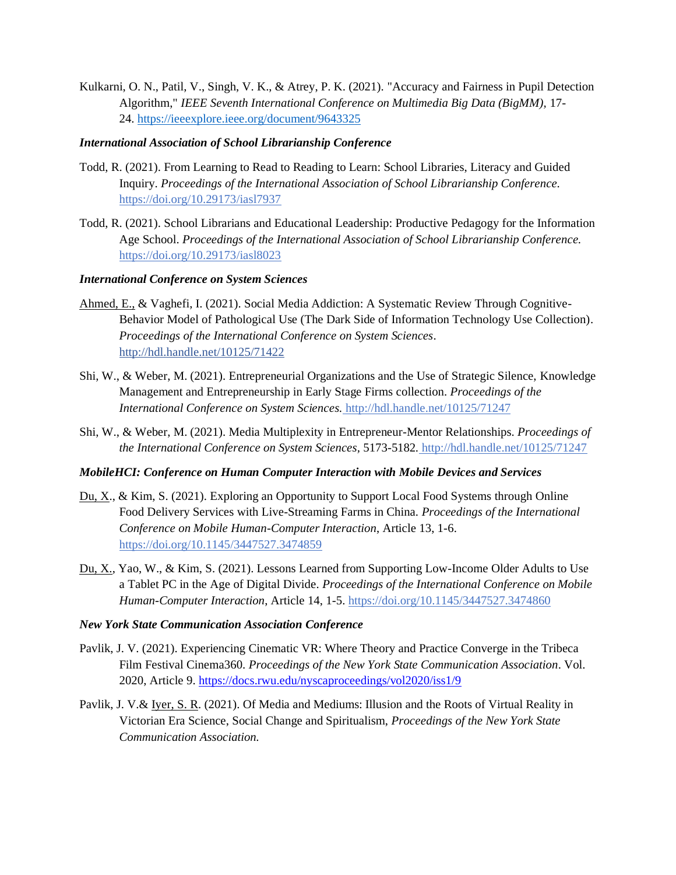Kulkarni, O. N., Patil, V., Singh, V. K., & Atrey, P. K. (2021). "Accuracy and Fairness in Pupil Detection Algorithm," *IEEE Seventh International Conference on Multimedia Big Data (BigMM),* 17- 24. <https://ieeexplore.ieee.org/document/9643325>

#### *International Association of School Librarianship Conference*

- Todd, R. (2021). From Learning to Read to Reading to Learn: School Libraries, Literacy and Guided Inquiry. *Proceedings of the International Association of School Librarianship Conference.*  <https://doi.org/10.29173/iasl7937>
- Todd, R. (2021). School Librarians and Educational Leadership: Productive Pedagogy for the Information Age School. *Proceedings of the International Association of School Librarianship Conference.*  <https://doi.org/10.29173/iasl8023>

## *International Conference on System Sciences*

- Ahmed, E., & Vaghefi, I. (2021). Social Media Addiction: A Systematic Review Through Cognitive-Behavior Model of Pathological Use (The Dark Side of Information Technology Use Collection). *Proceedings of the International Conference on System Sciences*. <http://hdl.handle.net/10125/71422>
- Shi, W., & Weber, M. (2021). Entrepreneurial Organizations and the Use of Strategic Silence, [Knowledge](https://scholarspace.manoa.hawaii.edu/handle/10125/72243)  Management [and Entrepreneurship in Early Stage Firms](https://scholarspace.manoa.hawaii.edu/handle/10125/72243) collection. *Proceedings of the International Conference on System Sciences.* <http://hdl.handle.net/10125/71247>
- Shi, W., & Weber, M. (2021). Media Multiplexity in Entrepreneur-Mentor Relationships. *Proceedings of the International Conference on System Sciences,* 5173-5182*.* <http://hdl.handle.net/10125/71247>

#### *MobileHCI: Conference on Human Computer Interaction with Mobile Devices and Services*

- Du, X., & Kim, S. (2021). Exploring an Opportunity to Support Local Food Systems through Online Food Delivery Services with Live-Streaming Farms in China*. Proceedings of the International Conference on Mobile Human-Computer Interaction*, Article 13, 1-6. <https://doi.org/10.1145/3447527.3474859>
- Du, X., Yao, W., & Kim, S. (2021). Lessons Learned from Supporting Low-Income Older Adults to Use a Tablet PC in the Age of Digital Divide. *Proceedings of the International Conference on Mobile Human-Computer Interaction*, Article 14, 1-5. <https://doi.org/10.1145/3447527.3474860>

#### *New York State Communication Association Conference*

- Pavlik, J. V. (2021). Experiencing Cinematic VR: Where Theory and Practice Converge in the Tribeca Film Festival Cinema360. *Proceedings of the New York State Communication Association*. Vol. 2020, Article 9.<https://docs.rwu.edu/nyscaproceedings/vol2020/iss1/9>
- Pavlik, J. V.& Iyer, S. R. (2021). Of Media and Mediums: Illusion and the Roots of Virtual Reality in Victorian Era Science, Social Change and Spiritualism, *Proceedings of the New York State Communication Association.*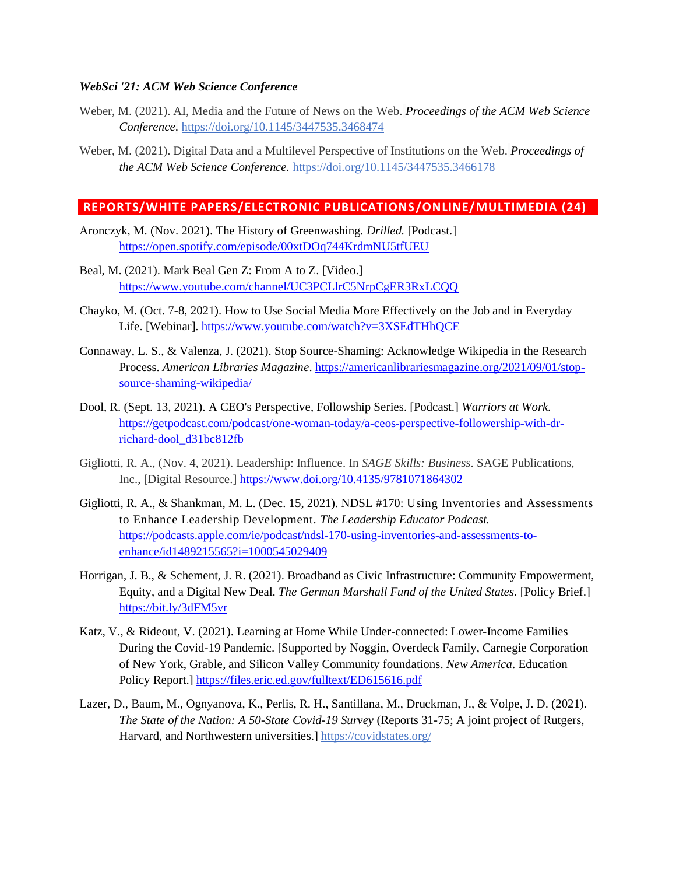#### *WebSci '21: ACM Web Science Conference*

- Weber, M. (2021). AI, Media and the Future of News on the Web. *Proceedings of the ACM Web Science Conference.* <https://doi.org/10.1145/3447535.3468474>
- Weber, M. (2021). Digital Data and a Multilevel Perspective of Institutions on the Web. *Proceedings of the ACM Web Science Conference.* <https://doi.org/10.1145/3447535.3466178>

#### <span id="page-18-0"></span>**REPORTS/WHITE PAPERS/ELECTRONIC PUBLICATIONS/ONLINE/MULTIMEDIA (24)**

- Aronczyk, M. (Nov. 2021). The History of Greenwashing. *Drilled.* [Podcast.] <https://open.spotify.com/episode/00xtDOq744KrdmNU5tfUEU>
- Beal, M. (2021). Mark Beal Gen Z: From A to Z. [Video.] <https://www.youtube.com/channel/UC3PCLlrC5NrpCgER3RxLCQQ>
- Chayko, M. (Oct. 7-8, 2021). How to Use Social Media More Effectively on the Job and in Everyday Life. [Webinar]. <https://www.youtube.com/watch?v=3XSEdTHhQCE>
- Connaway, L. S., & Valenza, J. (2021). Stop Source-Shaming: Acknowledge Wikipedia in the Research Process. *American Libraries Magazine*. [https://americanlibrariesmagazine.org/2021/09/01/stop](https://americanlibrariesmagazine.org/2021/09/01/stop-source-shaming-wikipedia/)[source-shaming-wikipedia/](https://americanlibrariesmagazine.org/2021/09/01/stop-source-shaming-wikipedia/)
- Dool, R. (Sept. 13, 2021). A CEO's Perspective, Followship Series. [Podcast.] *Warriors at Work.* [https://getpodcast.com/podcast/one-woman-today/a-ceos-perspective-followership-with-dr](https://getpodcast.com/podcast/one-woman-today/a-ceos-perspective-followership-with-dr-richard-dool_d31bc812fb)[richard-dool\\_d31bc812fb](https://getpodcast.com/podcast/one-woman-today/a-ceos-perspective-followership-with-dr-richard-dool_d31bc812fb)
- Gigliotti, R. A., (Nov. 4, 2021). Leadership: Influence. In *SAGE Skills: Business*. SAGE Publications, Inc., [Digital Resource.] <https://www.doi.org/10.4135/9781071864302>
- Gigliotti, R. A., & Shankman, M. L. (Dec. 15, 2021). NDSL #170: Using Inventories and Assessments to Enhance Leadership Development. *The Leadership Educator Podcast.*  [https://podcasts.apple.com/ie/podcast/ndsl-170-using-inventories-and-assessments-to](https://podcasts.apple.com/ie/podcast/ndsl-170-using-inventories-and-assessments-to-enhance/id1489215565?i=1000545029409)[enhance/id1489215565?i=1000545029409](https://podcasts.apple.com/ie/podcast/ndsl-170-using-inventories-and-assessments-to-enhance/id1489215565?i=1000545029409)
- Horrigan, J. B., & Schement, J. R. (2021). Broadband as Civic Infrastructure: Community Empowerment, Equity, and a Digital New Deal. *The German Marshall Fund of the United States.* [Policy Brief.] <https://bit.ly/3dFM5vr>
- Katz, V., & Rideout, V. (2021). Learning at Home While Under-connected: Lower-Income Families During the Covid-19 Pandemic. [Supported by Noggin, Overdeck Family, Carnegie Corporation of New York, Grable, and Silicon Valley Community foundations. *New America*. Education Policy Report.]<https://files.eric.ed.gov/fulltext/ED615616.pdf>
- Lazer, D., Baum, M., Ognyanova, K., Perlis, R. H., Santillana, M., Druckman, J., & Volpe, J. D. (2021). *The State of the Nation: A 50-State Covid-19 Survey* (Reports 31-75; A joint project of Rutgers, Harvard, and Northwestern universities.[\] https://covidstates.org/](https://covidstates.org/)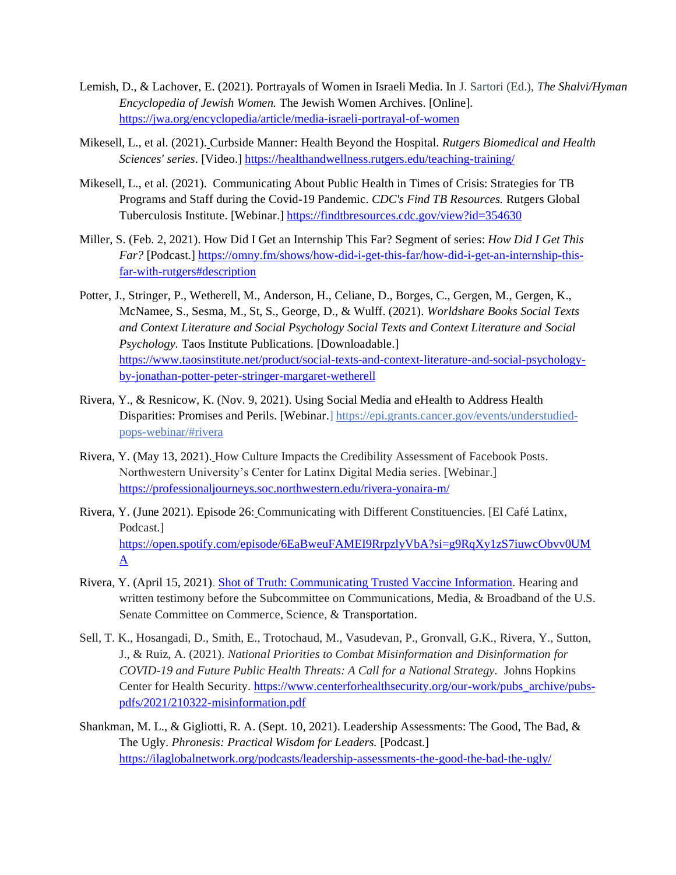- Lemish, D., & Lachover, E. (2021). Portrayals of Women in Israeli Media. In J. Sartori (Ed.), *The Shalvi/Hyman Encyclopedia of Jewish Women.* The Jewish Women Archives. [Online]. <https://jwa.org/encyclopedia/article/media-israeli-portrayal-of-women>
- Mikesell, L., et al. (2021). Curbside Manner: Health Beyond the Hospital. *Rutgers Biomedical and Health Sciences' series*. [Video.]<https://healthandwellness.rutgers.edu/teaching-training/>
- Mikesell, L., et al. (2021). Communicating About Public Health in Times of Crisis: Strategies for TB Programs and Staff during the Covid-19 Pandemic. *CDC's Find TB Resources.* Rutgers Global Tuberculosis Institute. [Webinar.] <https://findtbresources.cdc.gov/view?id=354630>
- Miller, S. (Feb. 2, 2021). How Did I Get an Internship This Far? Segment of series: *How Did I Get This Far?* [Podcast.] [https://omny.fm/shows/how-did-i-get-this-far/how-did-i-get-an-internship-this](https://omny.fm/shows/how-did-i-get-this-far/how-did-i-get-an-internship-this-far-with-rutgers#description)[far-with-rutgers#description](https://omny.fm/shows/how-did-i-get-this-far/how-did-i-get-an-internship-this-far-with-rutgers#description)
- Potter, J., Stringer, P., Wetherell, M., Anderson, H., Celiane, D., Borges, C., Gergen, M., Gergen, K., McNamee, S., Sesma, M., St, S., George, D., & Wulff. (2021). *Worldshare Books Social Texts and Context Literature and Social Psychology Social Texts and Context Literature and Social Psychology.* Taos Institute Publications. [Downloadable.] [https://www.taosinstitute.net/product/social-texts-and-context-literature-and-social-psychology](https://www.taosinstitute.net/product/social-texts-and-context-literature-and-social-psychology-by-jonathan-potter-peter-stringer-margaret-wetherell)[by-jonathan-potter-peter-stringer-margaret-wetherell](https://www.taosinstitute.net/product/social-texts-and-context-literature-and-social-psychology-by-jonathan-potter-peter-stringer-margaret-wetherell)
- Rivera, Y., & Resnicow, K. (Nov. 9, 2021). Using Social Media and eHealth to Address Health Disparities: Promises and Perils. [Webinar.[\] https://epi.grants.cancer.gov/events/understudied](https://nam02.safelinks.protection.outlook.com/?url=https%3A%2F%2Fepi.grants.cancer.gov%2Fevents%2Funderstudied-pops-webinar%2F%23rivera&data=04%7C01%7Ccraig.winston%40rutgers.edu%7C02d929ea336f47e57bb408d9bf4485ce%7Cb92d2b234d35447093ff69aca6632ffe%7C1%7C0%7C637751123278762192%7CUnknown%7CTWFpbGZsb3d8eyJWIjoiMC4wLjAwMDAiLCJQIjoiV2luMzIiLCJBTiI6Ik1haWwiLCJXVCI6Mn0%3D%7C3000&sdata=%2BiwlP2bNG%2FjHMOE5ZKii2YpOoMQc67ibDHqXq3aMnd0%3D&reserved=0)[pops-webinar/#rivera](https://nam02.safelinks.protection.outlook.com/?url=https%3A%2F%2Fepi.grants.cancer.gov%2Fevents%2Funderstudied-pops-webinar%2F%23rivera&data=04%7C01%7Ccraig.winston%40rutgers.edu%7C02d929ea336f47e57bb408d9bf4485ce%7Cb92d2b234d35447093ff69aca6632ffe%7C1%7C0%7C637751123278762192%7CUnknown%7CTWFpbGZsb3d8eyJWIjoiMC4wLjAwMDAiLCJQIjoiV2luMzIiLCJBTiI6Ik1haWwiLCJXVCI6Mn0%3D%7C3000&sdata=%2BiwlP2bNG%2FjHMOE5ZKii2YpOoMQc67ibDHqXq3aMnd0%3D&reserved=0)
- Rivera, Y. (May 13, 2021). How Culture Impacts the Credibility Assessment of Facebook Posts. Northwestern University's Center for Latinx Digital Media series. [Webinar.] <https://professionaljourneys.soc.northwestern.edu/rivera-yonaira-m/>
- Rivera, Y. (June 2021). Episode 26: Communicating with Different Constituencies. [El Café Latinx, Podcast.] [https://open.spotify.com/episode/6EaBweuFAMEI9RrpzlyVbA?si=g9RqXy1zS7iuwcObvv0UM](https://open.spotify.com/episode/6EaBweuFAMEI9RrpzlyVbA?si=g9RqXy1zS7iuwcObvv0UMA)  $\underline{A}$  $\underline{A}$  $\underline{A}$
- Rivera, Y. (April 15, 2021). Shot of Truth: [Communicating](https://nam02.safelinks.protection.outlook.com/?url=https%3A%2F%2Fwww.commerce.senate.gov%2F2021%2F4%2Fshot-of-truth-communicating-trusted-vaccine-information&data=04%7C01%7Ccraig.winston%40rutgers.edu%7Ca29de71b3b314d2f08b308d9df7c624d%7Cb92d2b234d35447093ff69aca6632ffe%7C1%7C0%7C637786547596332745%7CUnknown%7CTWFpbGZsb3d8eyJWIjoiMC4wLjAwMDAiLCJQIjoiV2luMzIiLCJBTiI6Ik1haWwiLCJXVCI6Mn0%3D%7C3000&sdata=NL08afnURq0ibH0TUpx17M4aTj1BjJWiGamEfV%2FGf28%3D&reserved=0) Trusted Vaccine Information. Hearing and written testimony before the Subcommittee on Communications, Media, & Broadband of the U.S. Senate Committee on Commerce, Science, & Transportation.
- Sell, T. K., Hosangadi, D., Smith, E., Trotochaud, M., Vasudevan, P., Gronvall, G.K., Rivera, Y., Sutton, J., & Ruiz, A. (2021). *National Priorities to Combat Misinformation and Disinformation for COVID-19 and Future Public Health Threats: A Call for a National Strategy.* Johns Hopkins Center for Health Security. [https://www.centerforhealthsecurity.org/our-work/pubs\\_archive/pubs](https://nam02.safelinks.protection.outlook.com/?url=https%3A%2F%2Fwww.centerforhealthsecurity.org%2Four-work%2Fpubs_archive%2Fpubs-pdfs%2F2021%2F210322-misinformation.pdf&data=04%7C01%7Ccraig.winston%40rutgers.edu%7Ca29de71b3b314d2f08b308d9df7c624d%7Cb92d2b234d35447093ff69aca6632ffe%7C1%7C0%7C637786547596312905%7CUnknown%7CTWFpbGZsb3d8eyJWIjoiMC4wLjAwMDAiLCJQIjoiV2luMzIiLCJBTiI6Ik1haWwiLCJXVCI6Mn0%3D%7C3000&sdata=GFwrqbkvciJv4%2FNSng4kyqwinWOvmj6ggIg%2FFb1K7hM%3D&reserved=0)[pdfs/2021/210322-misinformation.pdf](https://nam02.safelinks.protection.outlook.com/?url=https%3A%2F%2Fwww.centerforhealthsecurity.org%2Four-work%2Fpubs_archive%2Fpubs-pdfs%2F2021%2F210322-misinformation.pdf&data=04%7C01%7Ccraig.winston%40rutgers.edu%7Ca29de71b3b314d2f08b308d9df7c624d%7Cb92d2b234d35447093ff69aca6632ffe%7C1%7C0%7C637786547596312905%7CUnknown%7CTWFpbGZsb3d8eyJWIjoiMC4wLjAwMDAiLCJQIjoiV2luMzIiLCJBTiI6Ik1haWwiLCJXVCI6Mn0%3D%7C3000&sdata=GFwrqbkvciJv4%2FNSng4kyqwinWOvmj6ggIg%2FFb1K7hM%3D&reserved=0)
- Shankman, M. L., & Gigliotti, R. A. (Sept. 10, 2021). Leadership Assessments: The Good, The Bad, & The Ugly. *Phronesis: Practical Wisdom for Leaders.* [Podcast.] <https://ilaglobalnetwork.org/podcasts/leadership-assessments-the-good-the-bad-the-ugly/>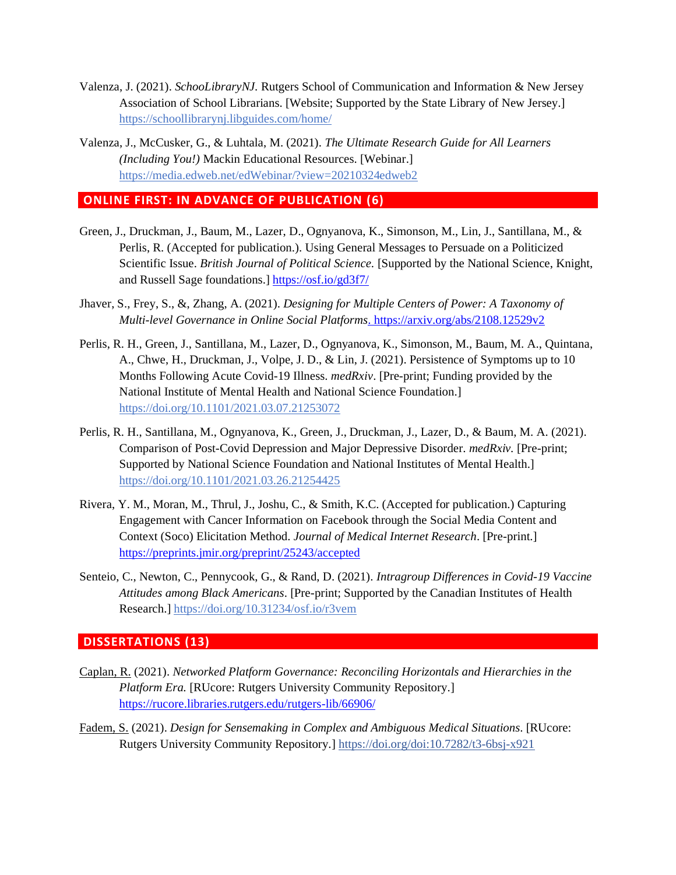- Valenza, J. (2021). *SchooLibraryNJ.* Rutgers School of Communication and Information & New Jersey Association of School Librarians. [Website; Supported by the State Library of New Jersey.] <https://schoollibrarynj.libguides.com/home/>
- Valenza, J., McCusker, G., & Luhtala, M. (2021). *The Ultimate Research Guide for All Learners (Including You!)* Mackin Educational Resources. [Webinar.] <https://media.edweb.net/edWebinar/?view=20210324edweb2>

# **ONLINE FIRST: IN ADVANCE OF PUBLICATION (6)**

- Green, J., Druckman, J., Baum, M., Lazer, D., Ognyanova, K., Simonson, M., Lin, J., Santillana, M., & Perlis, R. (Accepted for publication.). Using General Messages to Persuade on a Politicized Scientific Issue. *British Journal of Political Science.* [Supported by the National Science, Knight, and Russell Sage foundations.]<https://osf.io/gd3f7/>
- Jhaver, S., Frey, S., &, Zhang, A. (2021). *Designing for Multiple Centers of Power: A Taxonomy of Multi-level Governance in Online Social Platforms*. <https://arxiv.org/abs/2108.12529v2>
- Perlis, R. H., Green, J., Santillana, M., Lazer, D., Ognyanova, K., Simonson, M., Baum, M. A., Quintana, A., Chwe, H., Druckman, J., Volpe, J. D., & Lin, J. (2021). Persistence of Symptoms up to 10 Months Following Acute Covid-19 Illness. *medRxiv*. [Pre-print; Funding provided by the National Institute of Mental Health and National Science Foundation.] <https://doi.org/10.1101/2021.03.07.21253072>
- Perlis, R. H., Santillana, M., Ognyanova, K., Green, J., Druckman, J., Lazer, D., & Baum, M. A. (2021). Comparison of Post-Covid Depression and Major Depressive Disorder. *medRxiv.* [Pre-print; Supported by National Science Foundation and National Institutes of Mental Health.] <https://doi.org/10.1101/2021.03.26.21254425>
- Rivera, Y. M., Moran, M., Thrul, J., Joshu, C., & Smith, K.C. (Accepted for publication.) Capturing Engagement with Cancer Information on Facebook through the Social Media Content and Context (Soco) Elicitation Method. *Journal of Medical Internet Research*. [Pre-print.] <https://preprints.jmir.org/preprint/25243/accepted>
- Senteio, C., Newton, C., Pennycook, G., & Rand, D. (2021). *Intragroup Differences in Covid-19 Vaccine Attitudes among Black Americans*. [Pre-print; Supported by the Canadian Institutes of Health Research.]<https://doi.org/10.31234/osf.io/r3vem>

#### **DISSERTATIONS (13)**

- Caplan, R. (2021). *Networked Platform Governance: Reconciling Horizontals and Hierarchies in the Platform Era.* [RUcore: Rutgers University Community Repository.] <https://rucore.libraries.rutgers.edu/rutgers-lib/66906/>
- Fadem, S. (2021). *Design for Sensemaking in Complex and Ambiguous Medical Situations*. [RUcore: Rutgers University Community Repository.]<https://doi.org/doi:10.7282/t3-6bsj-x921>